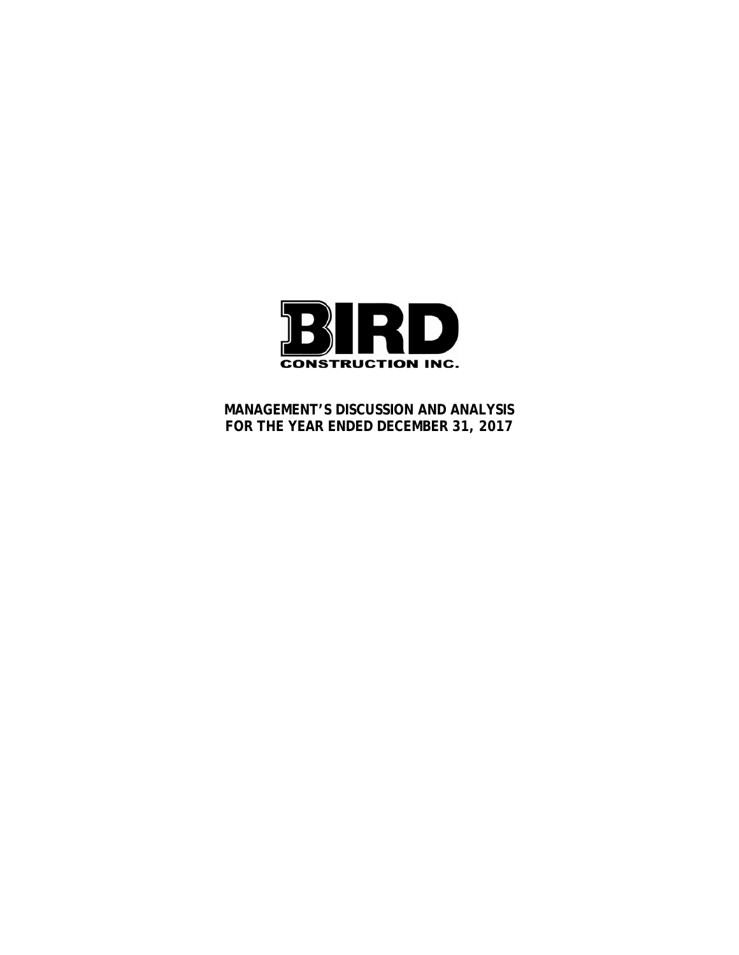

**MANAGEMENT'S DISCUSSION AND ANALYSIS FOR THE YEAR ENDED DECEMBER 31, 2017**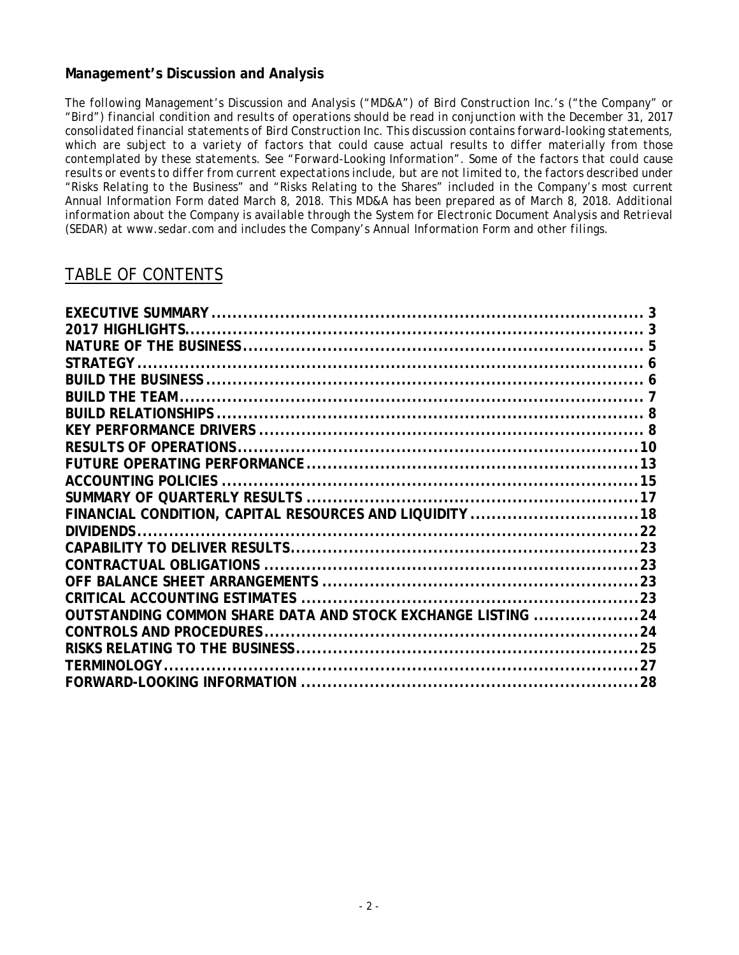# **Management's Discussion and Analysis**

*The following Management's Discussion and Analysis ("MD&A") of Bird Construction Inc.'s ("the Company" or "Bird") financial condition and results of operations should be read in conjunction with the December 31, 2017 consolidated financial statements of Bird Construction Inc. This discussion contains forward-looking statements, which are subject to a variety of factors that could cause actual results to differ materially from those contemplated by these statements. See "Forward-Looking Information". Some of the factors that could cause results or events to differ from current expectations include, but are not limited to, the factors described under "Risks Relating to the Business" and "Risks Relating to the Shares" included in the Company's most current Annual Information Form dated March 8, 2018. This MD&A has been prepared as of March 8, 2018. Additional*  information about the Company is available through the System for Electronic Document Analysis and Retrieval *(SEDAR) at www.sedar.com and includes the Company's Annual Information Form and other filings.* 

# TABLE OF CONTENTS

| FINANCIAL CONDITION, CAPITAL RESOURCES AND LIQUIDITY 18     |  |
|-------------------------------------------------------------|--|
|                                                             |  |
|                                                             |  |
|                                                             |  |
|                                                             |  |
|                                                             |  |
| OUTSTANDING COMMON SHARE DATA AND STOCK EXCHANGE LISTING 24 |  |
|                                                             |  |
|                                                             |  |
|                                                             |  |
|                                                             |  |
|                                                             |  |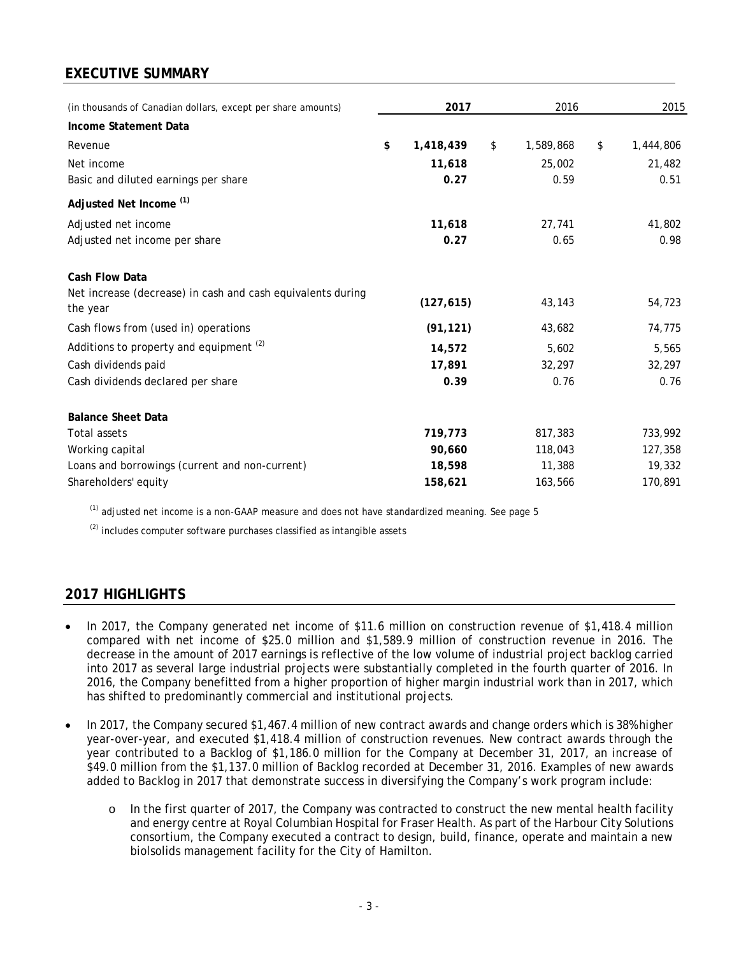# **EXECUTIVE SUMMARY**

| (in thousands of Canadian dollars, except per share amounts)            | 2017            | 2016            | 2015            |
|-------------------------------------------------------------------------|-----------------|-----------------|-----------------|
| Income Statement Data                                                   |                 |                 |                 |
| Revenue                                                                 | \$<br>1,418,439 | \$<br>1,589,868 | \$<br>1,444,806 |
| Net income                                                              | 11,618          | 25,002          | 21,482          |
| Basic and diluted earnings per share                                    | 0.27            | 0.59            | 0.51            |
| Adjusted Net Income <sup>(1)</sup>                                      |                 |                 |                 |
| Adjusted net income                                                     | 11,618          | 27,741          | 41,802          |
| Adjusted net income per share                                           | 0.27            | 0.65            | 0.98            |
| <b>Cash Flow Data</b>                                                   |                 |                 |                 |
| Net increase (decrease) in cash and cash equivalents during<br>the year | (127, 615)      | 43,143          | 54,723          |
| Cash flows from (used in) operations                                    | (91, 121)       | 43,682          | 74,775          |
| Additions to property and equipment <sup>(2)</sup>                      | 14,572          | 5,602           | 5,565           |
| Cash dividends paid                                                     | 17,891          | 32,297          | 32,297          |
| Cash dividends declared per share                                       | 0.39            | 0.76            | 0.76            |
| <b>Balance Sheet Data</b>                                               |                 |                 |                 |
| <b>Total assets</b>                                                     | 719,773         | 817,383         | 733,992         |
| Working capital                                                         | 90.660          | 118,043         | 127,358         |
| Loans and borrowings (current and non-current)                          | 18,598          | 11,388          | 19,332          |
| Shareholders' equity                                                    | 158,621         | 163,566         | 170,891         |

 $<sup>(1)</sup>$  adjusted net income is a non-GAAP measure and does not have standardized meaning. See page 5</sup>

 $(2)$  includes computer software purchases classified as intangible assets

# **2017 HIGHLIGHTS**

- In 2017, the Company generated net income of \$11.6 million on construction revenue of \$1,418.4 million compared with net income of \$25.0 million and \$1,589.9 million of construction revenue in 2016. The decrease in the amount of 2017 earnings is reflective of the low volume of industrial project backlog carried into 2017 as several large industrial projects were substantially completed in the fourth quarter of 2016. In 2016, the Company benefitted from a higher proportion of higher margin industrial work than in 2017, which has shifted to predominantly commercial and institutional projects.
- In 2017, the Company secured \$1,467.4 million of new contract awards and change orders which is 38% higher year-over-year, and executed \$1,418.4 million of construction revenues. New contract awards through the year contributed to a Backlog of \$1,186.0 million for the Company at December 31, 2017, an increase of \$49.0 million from the \$1,137.0 million of Backlog recorded at December 31, 2016. Examples of new awards added to Backlog in 2017 that demonstrate success in diversifying the Company's work program include:
	- o In the first quarter of 2017, the Company was contracted to construct the new mental health facility and energy centre at Royal Columbian Hospital for Fraser Health. As part of the Harbour City Solutions consortium, the Company executed a contract to design, build, finance, operate and maintain a new biolsolids management facility for the City of Hamilton.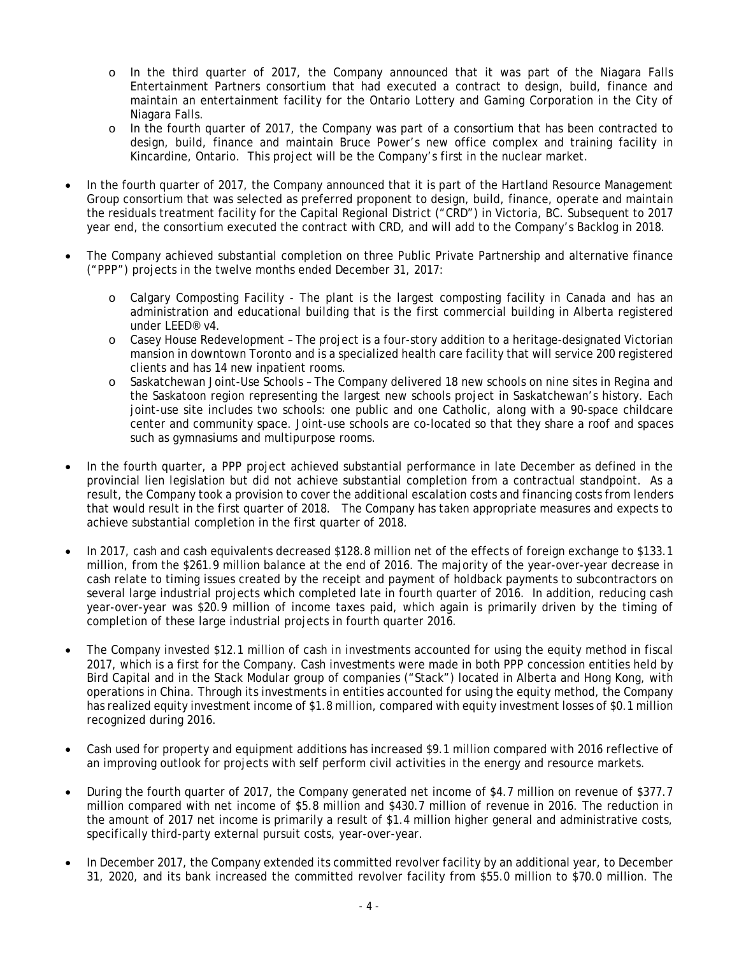- o In the third quarter of 2017, the Company announced that it was part of the Niagara Falls Entertainment Partners consortium that had executed a contract to design, build, finance and maintain an entertainment facility for the Ontario Lottery and Gaming Corporation in the City of Niagara Falls.
- o In the fourth quarter of 2017, the Company was part of a consortium that has been contracted to design, build, finance and maintain Bruce Power's new office complex and training facility in Kincardine, Ontario. This project will be the Company's first in the nuclear market.
- In the fourth quarter of 2017, the Company announced that it is part of the Hartland Resource Management Group consortium that was selected as preferred proponent to design, build, finance, operate and maintain the residuals treatment facility for the Capital Regional District ("CRD") in Victoria, BC. Subsequent to 2017 year end, the consortium executed the contract with CRD, and will add to the Company's Backlog in 2018.
- The Company achieved substantial completion on three Public Private Partnership and alternative finance ("PPP") projects in the twelve months ended December 31, 2017:
	- o Calgary Composting Facility The plant is the largest composting facility in Canada and has an administration and educational building that is the first commercial building in Alberta registered under LEED® v4.
	- o Casey House Redevelopment The project is a four-story addition to a heritage-designated Victorian mansion in downtown Toronto and is a specialized health care facility that will service 200 registered clients and has 14 new inpatient rooms.
	- o Saskatchewan Joint-Use Schools The Company delivered 18 new schools on nine sites in Regina and the Saskatoon region representing the largest new schools project in Saskatchewan's history. Each joint-use site includes two schools: one public and one Catholic, along with a 90-space childcare center and community space. Joint-use schools are co-located so that they share a roof and spaces such as gymnasiums and multipurpose rooms.
- In the fourth quarter, a PPP project achieved substantial performance in late December as defined in the provincial lien legislation but did not achieve substantial completion from a contractual standpoint. As a result, the Company took a provision to cover the additional escalation costs and financing costs from lenders that would result in the first quarter of 2018. The Company has taken appropriate measures and expects to achieve substantial completion in the first quarter of 2018.
- In 2017, cash and cash equivalents decreased \$128.8 million net of the effects of foreign exchange to \$133.1 million, from the \$261.9 million balance at the end of 2016. The majority of the year-over-year decrease in cash relate to timing issues created by the receipt and payment of holdback payments to subcontractors on several large industrial projects which completed late in fourth quarter of 2016. In addition, reducing cash year-over-year was \$20.9 million of income taxes paid, which again is primarily driven by the timing of completion of these large industrial projects in fourth quarter 2016.
- The Company invested \$12.1 million of cash in investments accounted for using the equity method in fiscal 2017, which is a first for the Company. Cash investments were made in both PPP concession entities held by Bird Capital and in the Stack Modular group of companies ("Stack") located in Alberta and Hong Kong, with operations in China. Through its investments in entities accounted for using the equity method, the Company has realized equity investment income of \$1.8 million, compared with equity investment losses of \$0.1 million recognized during 2016.
- Cash used for property and equipment additions has increased \$9.1 million compared with 2016 reflective of an improving outlook for projects with self perform civil activities in the energy and resource markets.
- During the fourth quarter of 2017, the Company generated net income of \$4.7 million on revenue of \$377.7 million compared with net income of \$5.8 million and \$430.7 million of revenue in 2016. The reduction in the amount of 2017 net income is primarily a result of \$1.4 million higher general and administrative costs, specifically third-party external pursuit costs, year-over-year.
- In December 2017, the Company extended its committed revolver facility by an additional year, to December 31, 2020, and its bank increased the committed revolver facility from \$55.0 million to \$70.0 million. The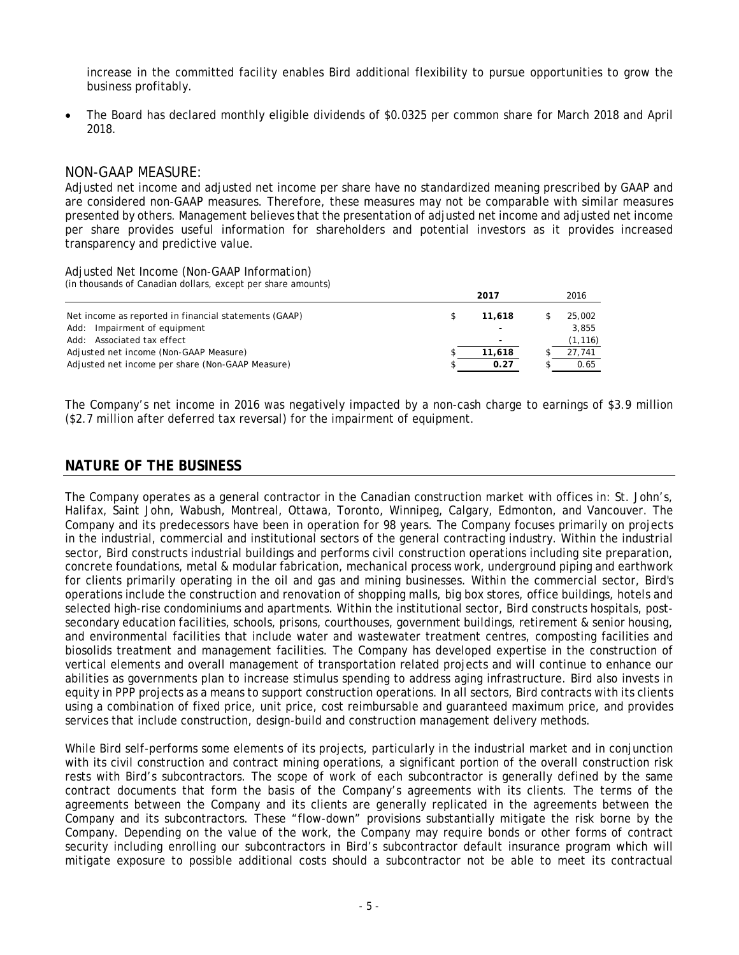increase in the committed facility enables Bird additional flexibility to pursue opportunities to grow the business profitably.

 The Board has declared monthly eligible dividends of \$0.0325 per common share for March 2018 and April 2018.

### NON-GAAP MEASURE:

Adjusted net income and adjusted net income per share have no standardized meaning prescribed by GAAP and are considered non-GAAP measures. Therefore, these measures may not be comparable with similar measures presented by others. Management believes that the presentation of adjusted net income and adjusted net income per share provides useful information for shareholders and potential investors as it provides increased transparency and predictive value.

Adjusted Net Income (Non-GAAP Information) (in thousands of Canadian dollars, except per share amounts)

|                                                       | 2017                     | 2016     |
|-------------------------------------------------------|--------------------------|----------|
| Net income as reported in financial statements (GAAP) | 11.618                   | 25,002   |
| Add: Impairment of equipment                          | -                        | 3.855    |
| Add: Associated tax effect                            | $\overline{\phantom{a}}$ | (1, 116) |
| Adjusted net income (Non-GAAP Measure)                | 11,618                   | 27.741   |
| Adjusted net income per share (Non-GAAP Measure)      | 0.27                     | 0.65     |

The Company's net income in 2016 was negatively impacted by a non-cash charge to earnings of \$3.9 million (\$2.7 million after deferred tax reversal) for the impairment of equipment.

### **NATURE OF THE BUSINESS**

The Company operates as a general contractor in the Canadian construction market with offices in: St. John's, Halifax, Saint John, Wabush, Montreal, Ottawa, Toronto, Winnipeg, Calgary, Edmonton, and Vancouver. The Company and its predecessors have been in operation for 98 years. The Company focuses primarily on projects in the industrial, commercial and institutional sectors of the general contracting industry. Within the industrial sector, Bird constructs industrial buildings and performs civil construction operations including site preparation, concrete foundations, metal & modular fabrication, mechanical process work, underground piping and earthwork for clients primarily operating in the oil and gas and mining businesses. Within the commercial sector, Bird's operations include the construction and renovation of shopping malls, big box stores, office buildings, hotels and selected high-rise condominiums and apartments. Within the institutional sector, Bird constructs hospitals, postsecondary education facilities, schools, prisons, courthouses, government buildings, retirement & senior housing, and environmental facilities that include water and wastewater treatment centres, composting facilities and biosolids treatment and management facilities. The Company has developed expertise in the construction of vertical elements and overall management of transportation related projects and will continue to enhance our abilities as governments plan to increase stimulus spending to address aging infrastructure. Bird also invests in equity in PPP projects as a means to support construction operations. In all sectors, Bird contracts with its clients using a combination of fixed price, unit price, cost reimbursable and guaranteed maximum price, and provides services that include construction, design-build and construction management delivery methods.

While Bird self-performs some elements of its projects, particularly in the industrial market and in conjunction with its civil construction and contract mining operations, a significant portion of the overall construction risk rests with Bird's subcontractors. The scope of work of each subcontractor is generally defined by the same contract documents that form the basis of the Company's agreements with its clients. The terms of the agreements between the Company and its clients are generally replicated in the agreements between the Company and its subcontractors. These "flow-down" provisions substantially mitigate the risk borne by the Company. Depending on the value of the work, the Company may require bonds or other forms of contract security including enrolling our subcontractors in Bird's subcontractor default insurance program which will mitigate exposure to possible additional costs should a subcontractor not be able to meet its contractual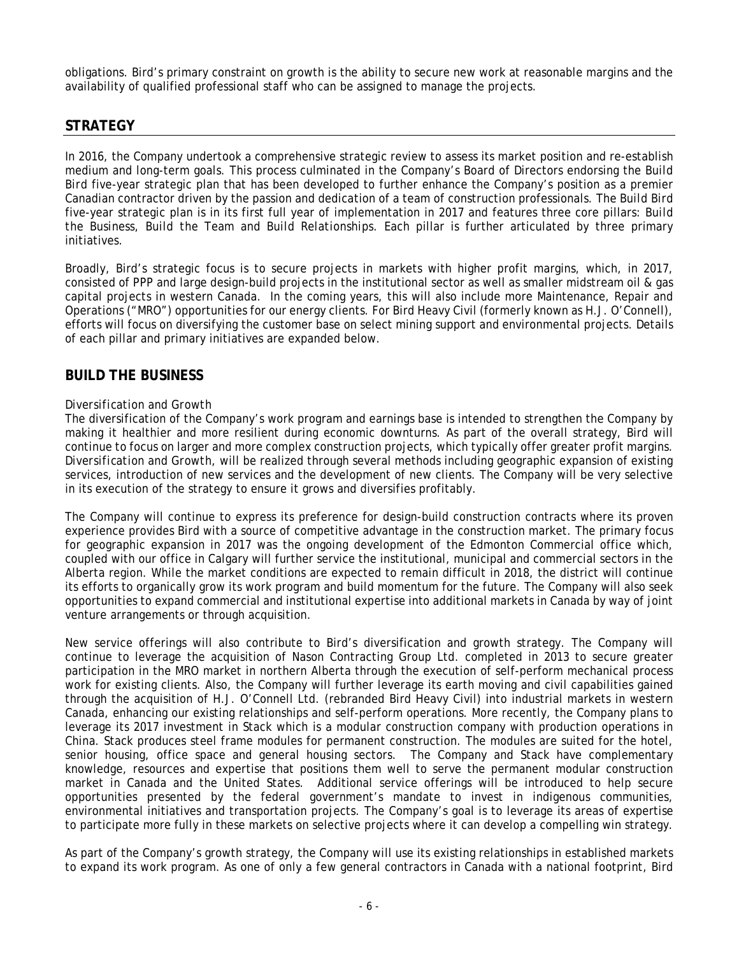obligations. Bird's primary constraint on growth is the ability to secure new work at reasonable margins and the availability of qualified professional staff who can be assigned to manage the projects.

## **STRATEGY**

In 2016, the Company undertook a comprehensive strategic review to assess its market position and re-establish medium and long-term goals. This process culminated in the Company's Board of Directors endorsing the *Build Bird* five-year strategic plan that has been developed to further enhance the Company's position as a premier Canadian contractor driven by the passion and dedication of a team of construction professionals. The *Build Bird* five-year strategic plan is in its first full year of implementation in 2017 and features three core pillars: *Build the Business, Build the Team* and *Build Relationships*. Each pillar is further articulated by three primary initiatives.

Broadly, Bird's strategic focus is to secure projects in markets with higher profit margins, which, in 2017, consisted of PPP and large design-build projects in the institutional sector as well as smaller midstream oil & gas capital projects in western Canada. In the coming years, this will also include more Maintenance, Repair and Operations ("MRO") opportunities for our energy clients. For Bird Heavy Civil (formerly known as H.J. O'Connell), efforts will focus on diversifying the customer base on select mining support and environmental projects. Details of each pillar and primary initiatives are expanded below.

### **BUILD THE BUSINESS**

### *Diversification and Growth*

The diversification of the Company's work program and earnings base is intended to strengthen the Company by making it healthier and more resilient during economic downturns. As part of the overall strategy, Bird will continue to focus on larger and more complex construction projects, which typically offer greater profit margins. *Diversification and Growth*, will be realized through several methods including geographic expansion of existing services, introduction of new services and the development of new clients. The Company will be very selective in its execution of the strategy to ensure it grows and diversifies profitably.

The Company will continue to express its preference for design-build construction contracts where its proven experience provides Bird with a source of competitive advantage in the construction market. The primary focus for geographic expansion in 2017 was the ongoing development of the Edmonton Commercial office which, coupled with our office in Calgary will further service the institutional, municipal and commercial sectors in the Alberta region. While the market conditions are expected to remain difficult in 2018, the district will continue its efforts to organically grow its work program and build momentum for the future. The Company will also seek opportunities to expand commercial and institutional expertise into additional markets in Canada by way of joint venture arrangements or through acquisition.

New service offerings will also contribute to Bird's diversification and growth strategy. The Company will continue to leverage the acquisition of Nason Contracting Group Ltd. completed in 2013 to secure greater participation in the MRO market in northern Alberta through the execution of self-perform mechanical process work for existing clients. Also, the Company will further leverage its earth moving and civil capabilities gained through the acquisition of H.J. O'Connell Ltd. (rebranded Bird Heavy Civil) into industrial markets in western Canada, enhancing our existing relationships and self-perform operations. More recently, the Company plans to leverage its 2017 investment in Stack which is a modular construction company with production operations in China. Stack produces steel frame modules for permanent construction. The modules are suited for the hotel, senior housing, office space and general housing sectors. The Company and Stack have complementary knowledge, resources and expertise that positions them well to serve the permanent modular construction market in Canada and the United States. Additional service offerings will be introduced to help secure opportunities presented by the federal government's mandate to invest in indigenous communities, environmental initiatives and transportation projects. The Company's goal is to leverage its areas of expertise to participate more fully in these markets on selective projects where it can develop a compelling win strategy.

As part of the Company's growth strategy, the Company will use its existing relationships in established markets to expand its work program. As one of only a few general contractors in Canada with a national footprint, Bird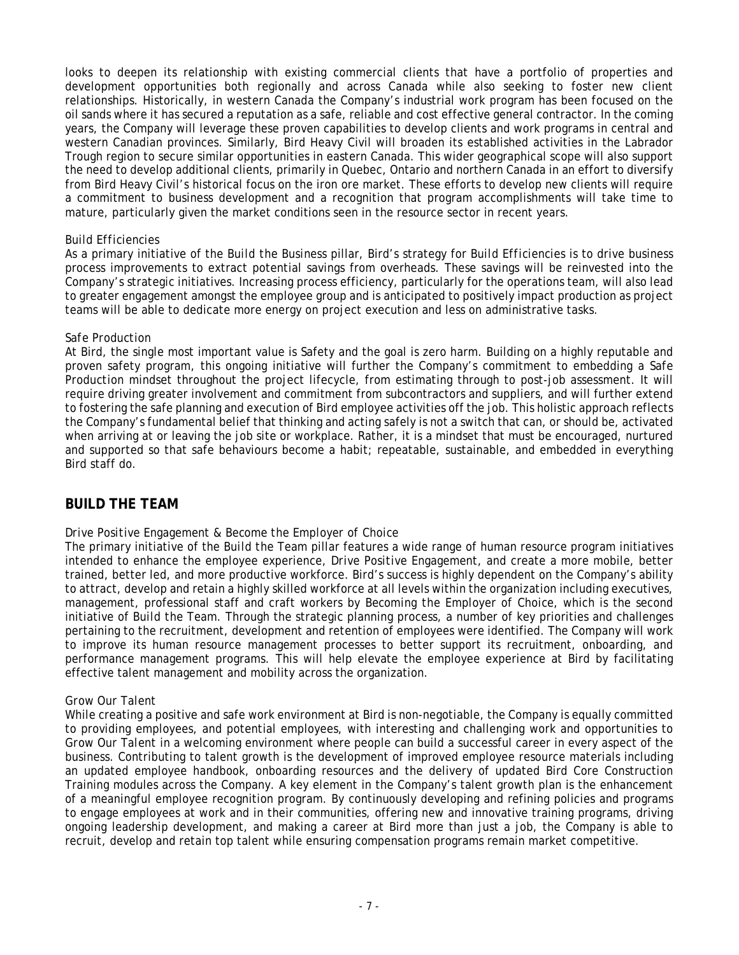looks to deepen its relationship with existing commercial clients that have a portfolio of properties and development opportunities both regionally and across Canada while also seeking to foster new client relationships. Historically, in western Canada the Company's industrial work program has been focused on the oil sands where it has secured a reputation as a safe, reliable and cost effective general contractor. In the coming years, the Company will leverage these proven capabilities to develop clients and work programs in central and western Canadian provinces. Similarly, Bird Heavy Civil will broaden its established activities in the Labrador Trough region to secure similar opportunities in eastern Canada. This wider geographical scope will also support the need to develop additional clients, primarily in Quebec, Ontario and northern Canada in an effort to diversify from Bird Heavy Civil's historical focus on the iron ore market. These efforts to develop new clients will require a commitment to business development and a recognition that program accomplishments will take time to mature, particularly given the market conditions seen in the resource sector in recent years.

### *Build Efficiencies*

As a primary initiative of the *Build the Business* pillar, Bird's strategy for *Build Efficiencies* is to drive business process improvements to extract potential savings from overheads. These savings will be reinvested into the Company's strategic initiatives. Increasing process efficiency, particularly for the operations team, will also lead to greater engagement amongst the employee group and is anticipated to positively impact production as project teams will be able to dedicate more energy on project execution and less on administrative tasks.

### *Safe Production*

At Bird, the single most important value is Safety and the goal is zero harm. Building on a highly reputable and proven safety program, this ongoing initiative will further the Company's commitment to embedding a *Safe Production* mindset throughout the project lifecycle, from estimating through to post-job assessment. It will require driving greater involvement and commitment from subcontractors and suppliers, and will further extend to fostering the safe planning and execution of Bird employee activities off the job. This holistic approach reflects the Company's fundamental belief that thinking and acting safely is not a switch that can, or should be, activated when arriving at or leaving the job site or workplace. Rather, it is a mindset that must be encouraged, nurtured and supported so that safe behaviours become a habit; repeatable, sustainable, and embedded in everything Bird staff do.

### **BUILD THE TEAM**

### *Drive Positive Engagement & Become the Employer of Choice*

The primary initiative of the *Build the Team* pillar features a wide range of human resource program initiatives intended to enhance the employee experience, *Drive Positive Engagement*, and create a more mobile, better trained, better led, and more productive workforce. Bird's success is highly dependent on the Company's ability to attract, develop and retain a highly skilled workforce at all levels within the organization including executives, management, professional staff and craft workers by *Becoming the Employer of Choice,* which is the second initiative of *Build the Team*. Through the strategic planning process, a number of key priorities and challenges pertaining to the recruitment, development and retention of employees were identified. The Company will work to improve its human resource management processes to better support its recruitment, onboarding, and performance management programs. This will help elevate the employee experience at Bird by facilitating effective talent management and mobility across the organization.

#### *Grow Our Talent*

While creating a positive and safe work environment at Bird is non-negotiable, the Company is equally committed to providing employees, and potential employees, with interesting and challenging work and opportunities to *Grow Our Talent* in a welcoming environment where people can build a successful career in every aspect of the business. Contributing to talent growth is the development of improved employee resource materials including an updated employee handbook, onboarding resources and the delivery of updated Bird Core Construction Training modules across the Company. A key element in the Company's talent growth plan is the enhancement of a meaningful employee recognition program. By continuously developing and refining policies and programs to engage employees at work and in their communities, offering new and innovative training programs, driving ongoing leadership development, and making a career at Bird more than just a job, the Company is able to recruit, develop and retain top talent while ensuring compensation programs remain market competitive.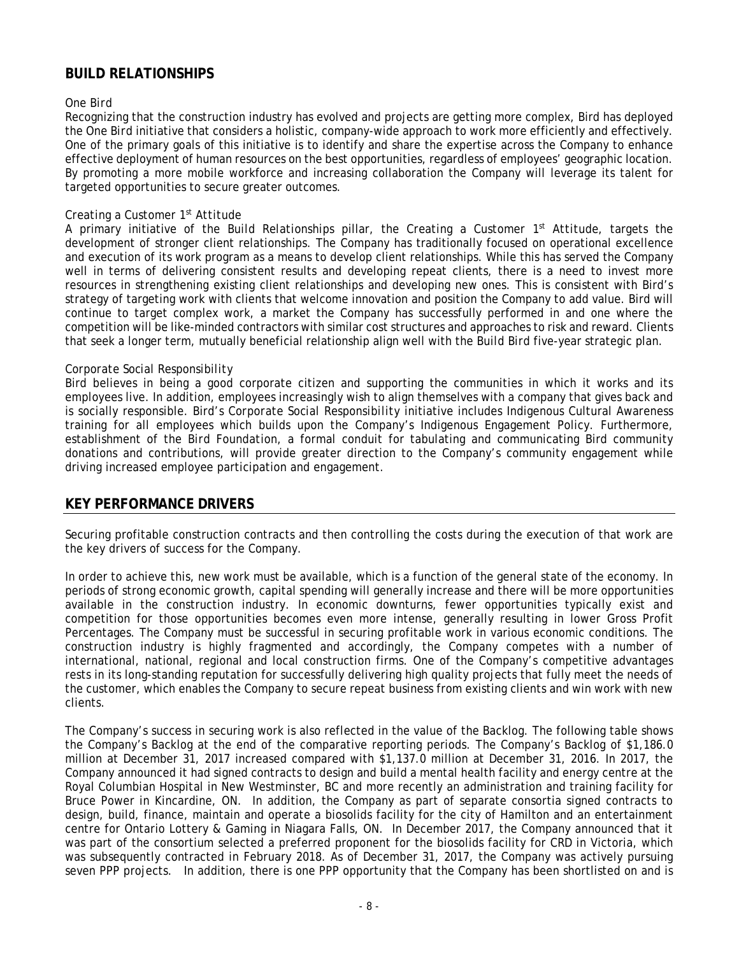# **BUILD RELATIONSHIPS**

### *One Bird*

Recognizing that the construction industry has evolved and projects are getting more complex, Bird has deployed the *One Bird* initiative that considers a holistic, company-wide approach to work more efficiently and effectively. One of the primary goals of this initiative is to identify and share the expertise across the Company to enhance effective deployment of human resources on the best opportunities, regardless of employees' geographic location. By promoting a more mobile workforce and increasing collaboration the Company will leverage its talent for targeted opportunities to secure greater outcomes.

### *Creating a Customer 1st Attitude*

A primary initiative of the *Build Relationships* pillar, the *Creating a Customer 1st Attitude*, targets the development of stronger client relationships. The Company has traditionally focused on operational excellence and execution of its work program as a means to develop client relationships. While this has served the Company well in terms of delivering consistent results and developing repeat clients, there is a need to invest more resources in strengthening existing client relationships and developing new ones. This is consistent with Bird's strategy of targeting work with clients that welcome innovation and position the Company to add value. Bird will continue to target complex work, a market the Company has successfully performed in and one where the competition will be like-minded contractors with similar cost structures and approaches to risk and reward. Clients that seek a longer term, mutually beneficial relationship align well with the *Build Bird* five-year strategic plan.

### *Corporate Social Responsibility*

Bird believes in being a good corporate citizen and supporting the communities in which it works and its employees live. In addition, employees increasingly wish to align themselves with a company that gives back and is socially responsible. Bird's *Corporate Social Responsibility* initiative includes Indigenous Cultural Awareness training for all employees which builds upon the Company's Indigenous Engagement Policy. Furthermore, establishment of the *Bird Foundation*, a formal conduit for tabulating and communicating Bird community donations and contributions, will provide greater direction to the Company's community engagement while driving increased employee participation and engagement.

### **KEY PERFORMANCE DRIVERS**

Securing profitable construction contracts and then controlling the costs during the execution of that work are the key drivers of success for the Company.

In order to achieve this, new work must be available, which is a function of the general state of the economy. In periods of strong economic growth, capital spending will generally increase and there will be more opportunities available in the construction industry. In economic downturns, fewer opportunities typically exist and competition for those opportunities becomes even more intense, generally resulting in lower Gross Profit Percentages. The Company must be successful in securing profitable work in various economic conditions. The construction industry is highly fragmented and accordingly, the Company competes with a number of international, national, regional and local construction firms. One of the Company's competitive advantages rests in its long-standing reputation for successfully delivering high quality projects that fully meet the needs of the customer, which enables the Company to secure repeat business from existing clients and win work with new clients.

The Company's success in securing work is also reflected in the value of the Backlog. The following table shows the Company's Backlog at the end of the comparative reporting periods. The Company's Backlog of \$1,186.0 million at December 31, 2017 increased compared with \$1,137.0 million at December 31, 2016. In 2017, the Company announced it had signed contracts to design and build a mental health facility and energy centre at the Royal Columbian Hospital in New Westminster, BC and more recently an administration and training facility for Bruce Power in Kincardine, ON. In addition, the Company as part of separate consortia signed contracts to design, build, finance, maintain and operate a biosolids facility for the city of Hamilton and an entertainment centre for Ontario Lottery & Gaming in Niagara Falls, ON. In December 2017, the Company announced that it was part of the consortium selected a preferred proponent for the biosolids facility for CRD in Victoria, which was subsequently contracted in February 2018. As of December 31, 2017, the Company was actively pursuing seven PPP projects. In addition, there is one PPP opportunity that the Company has been shortlisted on and is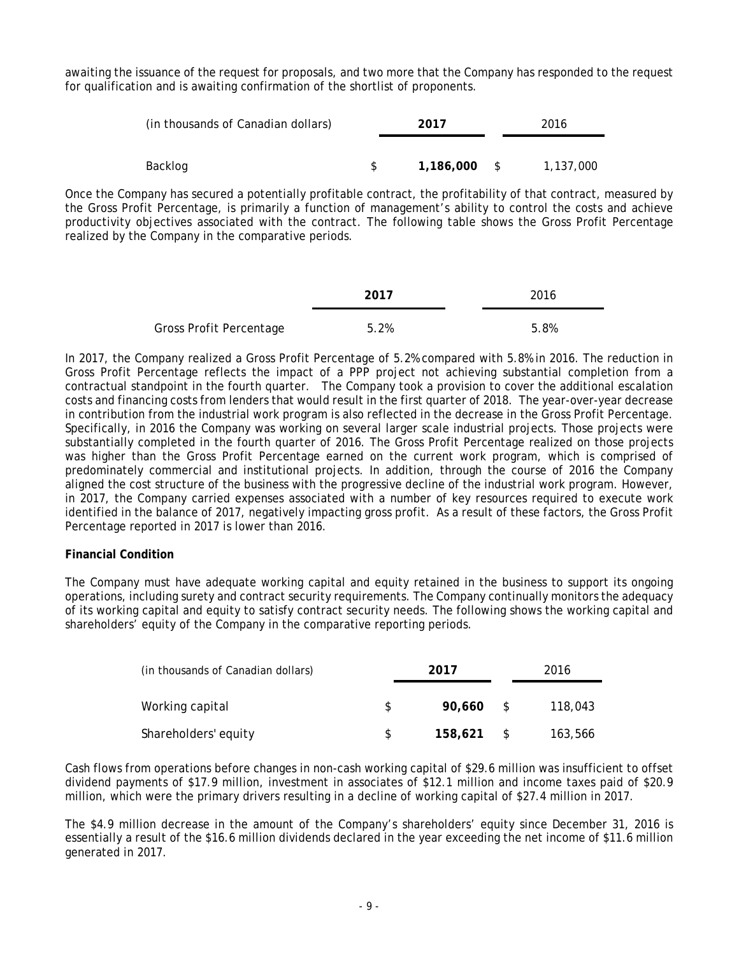awaiting the issuance of the request for proposals, and two more that the Company has responded to the request for qualification and is awaiting confirmation of the shortlist of proponents.

| (in thousands of Canadian dollars) | 2017           | 2016      |  |  |
|------------------------------------|----------------|-----------|--|--|
|                                    |                |           |  |  |
| Backlog                            | $1,186,000$ \$ | 1,137,000 |  |  |

Once the Company has secured a potentially profitable contract, the profitability of that contract, measured by the Gross Profit Percentage, is primarily a function of management's ability to control the costs and achieve productivity objectives associated with the contract. The following table shows the Gross Profit Percentage realized by the Company in the comparative periods.

|                         | 2017 | 2016 |
|-------------------------|------|------|
| Gross Profit Percentage | 5.2% | 5.8% |

In 2017, the Company realized a Gross Profit Percentage of 5.2% compared with 5.8% in 2016. The reduction in Gross Profit Percentage reflects the impact of a PPP project not achieving substantial completion from a contractual standpoint in the fourth quarter. The Company took a provision to cover the additional escalation costs and financing costs from lenders that would result in the first quarter of 2018. The year-over-year decrease in contribution from the industrial work program is also reflected in the decrease in the Gross Profit Percentage. Specifically, in 2016 the Company was working on several larger scale industrial projects. Those projects were substantially completed in the fourth quarter of 2016. The Gross Profit Percentage realized on those projects was higher than the Gross Profit Percentage earned on the current work program, which is comprised of predominately commercial and institutional projects. In addition, through the course of 2016 the Company aligned the cost structure of the business with the progressive decline of the industrial work program. However, in 2017, the Company carried expenses associated with a number of key resources required to execute work identified in the balance of 2017, negatively impacting gross profit. As a result of these factors, the Gross Profit Percentage reported in 2017 is lower than 2016.

### **Financial Condition**

The Company must have adequate working capital and equity retained in the business to support its ongoing operations, including surety and contract security requirements. The Company continually monitors the adequacy of its working capital and equity to satisfy contract security needs. The following shows the working capital and shareholders' equity of the Company in the comparative reporting periods.

| (in thousands of Canadian dollars) |     | 2017    |              | 2016    |
|------------------------------------|-----|---------|--------------|---------|
| Working capital                    | \$. | 90.660  | $\mathbb{S}$ | 118,043 |
| Shareholders' equity               | S.  | 158,621 |              | 163,566 |

Cash flows from operations before changes in non-cash working capital of \$29.6 million was insufficient to offset dividend payments of \$17.9 million, investment in associates of \$12.1 million and income taxes paid of \$20.9 million, which were the primary drivers resulting in a decline of working capital of \$27.4 million in 2017.

The \$4.9 million decrease in the amount of the Company's shareholders' equity since December 31, 2016 is essentially a result of the \$16.6 million dividends declared in the year exceeding the net income of \$11.6 million generated in 2017.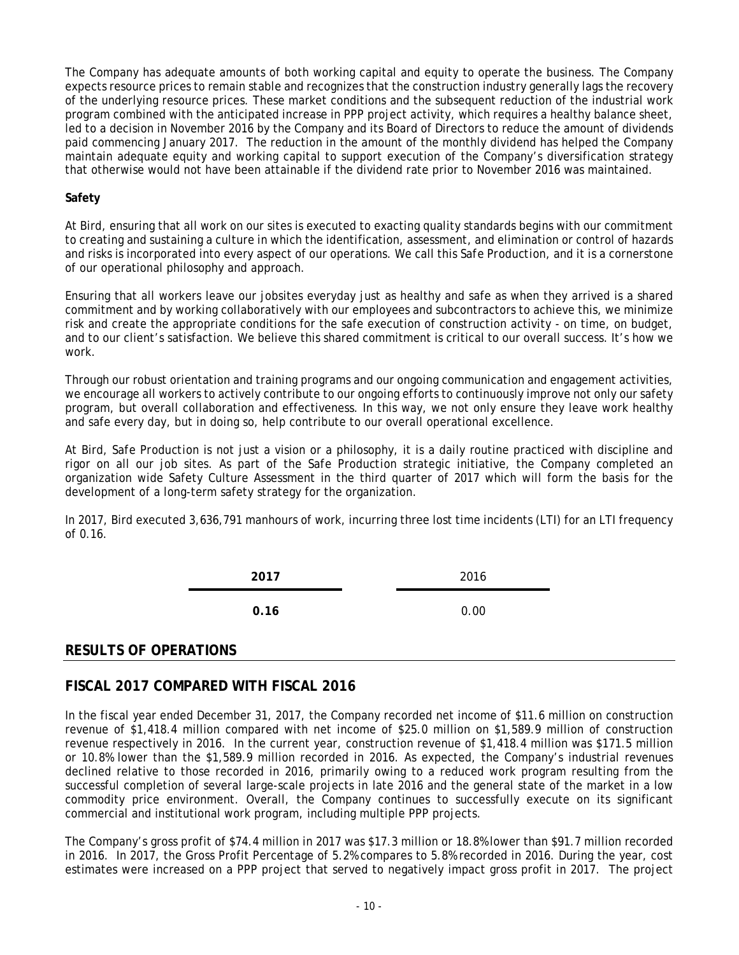The Company has adequate amounts of both working capital and equity to operate the business. The Company expects resource prices to remain stable and recognizes that the construction industry generally lags the recovery of the underlying resource prices. These market conditions and the subsequent reduction of the industrial work program combined with the anticipated increase in PPP project activity, which requires a healthy balance sheet, led to a decision in November 2016 by the Company and its Board of Directors to reduce the amount of dividends paid commencing January 2017. The reduction in the amount of the monthly dividend has helped the Company maintain adequate equity and working capital to support execution of the Company's diversification strategy that otherwise would not have been attainable if the dividend rate prior to November 2016 was maintained.

### **Safety**

At Bird, ensuring that all work on our sites is executed to exacting quality standards begins with our commitment to creating and sustaining a culture in which the identification, assessment, and elimination or control of hazards and risks is incorporated into every aspect of our operations. We call this *Safe Production,* and it is a cornerstone of our operational philosophy and approach.

Ensuring that all workers leave our jobsites everyday just as healthy and safe as when they arrived is a shared commitment and by working collaboratively with our employees and subcontractors to achieve this, we minimize risk and create the appropriate conditions for the safe execution of construction activity - on time, on budget, and to our client's satisfaction. We believe this shared commitment is critical to our overall success. It's how we work.

Through our robust orientation and training programs and our ongoing communication and engagement activities, we encourage all workers to actively contribute to our ongoing efforts to continuously improve not only our safety program, but overall collaboration and effectiveness. In this way, we not only ensure they leave work healthy and safe every day, but in doing so, help contribute to our overall operational excellence.

At Bird, *Safe Production* is not just a vision or a philosophy, it is a daily routine practiced with discipline and rigor on all our job sites. As part of the *Safe Production* strategic initiative, the Company completed an organization wide Safety Culture Assessment in the third quarter of 2017 which will form the basis for the development of a long-term safety strategy for the organization.

In 2017, Bird executed 3,636,791 manhours of work, incurring three lost time incidents (LTI) for an LTI frequency of 0.16.

> **2017** 2016 **0.16** 0.00

### **RESULTS OF OPERATIONS**

# **FISCAL 2017 COMPARED WITH FISCAL 2016**

In the fiscal year ended December 31, 2017, the Company recorded net income of \$11.6 million on construction revenue of \$1,418.4 million compared with net income of \$25.0 million on \$1,589.9 million of construction revenue respectively in 2016. In the current year, construction revenue of \$1,418.4 million was \$171.5 million or 10.8% lower than the \$1,589.9 million recorded in 2016. As expected, the Company's industrial revenues declined relative to those recorded in 2016, primarily owing to a reduced work program resulting from the successful completion of several large-scale projects in late 2016 and the general state of the market in a low commodity price environment. Overall, the Company continues to successfully execute on its significant commercial and institutional work program, including multiple PPP projects.

The Company's gross profit of \$74.4 million in 2017 was \$17.3 million or 18.8% lower than \$91.7 million recorded in 2016. In 2017, the Gross Profit Percentage of 5.2% compares to 5.8% recorded in 2016. During the year, cost estimates were increased on a PPP project that served to negatively impact gross profit in 2017. The project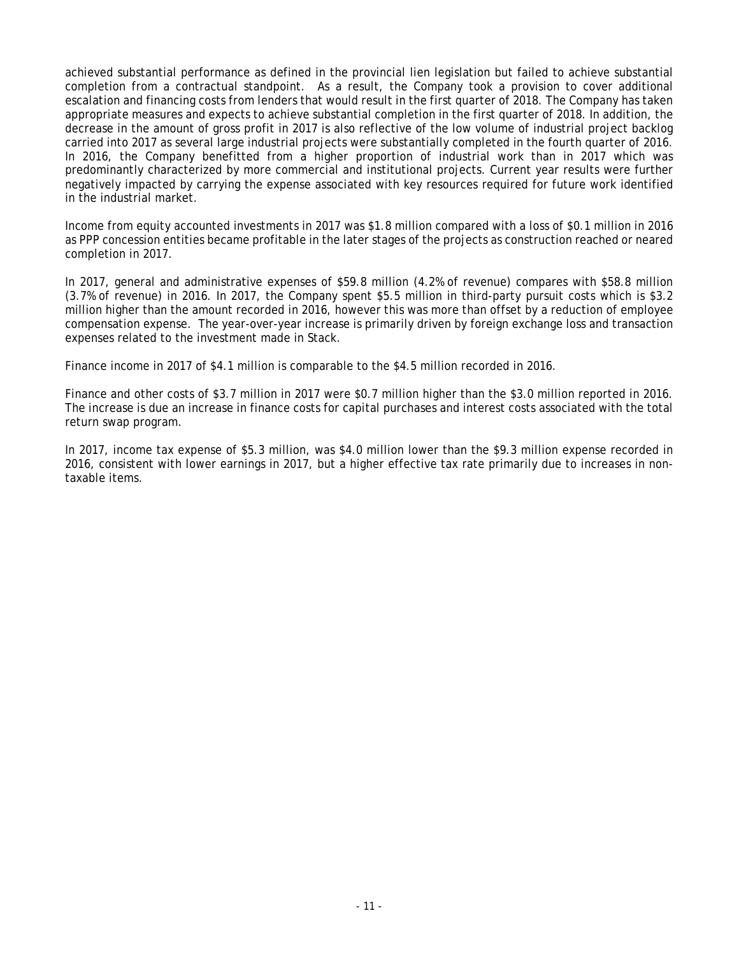achieved substantial performance as defined in the provincial lien legislation but failed to achieve substantial completion from a contractual standpoint. As a result, the Company took a provision to cover additional escalation and financing costs from lenders that would result in the first quarter of 2018. The Company has taken appropriate measures and expects to achieve substantial completion in the first quarter of 2018. In addition, the decrease in the amount of gross profit in 2017 is also reflective of the low volume of industrial project backlog carried into 2017 as several large industrial projects were substantially completed in the fourth quarter of 2016. In 2016, the Company benefitted from a higher proportion of industrial work than in 2017 which was predominantly characterized by more commercial and institutional projects. Current year results were further negatively impacted by carrying the expense associated with key resources required for future work identified in the industrial market.

Income from equity accounted investments in 2017 was \$1.8 million compared with a loss of \$0.1 million in 2016 as PPP concession entities became profitable in the later stages of the projects as construction reached or neared completion in 2017.

In 2017, general and administrative expenses of \$59.8 million (4.2% of revenue) compares with \$58.8 million (3.7% of revenue) in 2016. In 2017, the Company spent \$5.5 million in third-party pursuit costs which is \$3.2 million higher than the amount recorded in 2016, however this was more than offset by a reduction of employee compensation expense. The year-over-year increase is primarily driven by foreign exchange loss and transaction expenses related to the investment made in Stack.

Finance income in 2017 of \$4.1 million is comparable to the \$4.5 million recorded in 2016.

Finance and other costs of \$3.7 million in 2017 were \$0.7 million higher than the \$3.0 million reported in 2016. The increase is due an increase in finance costs for capital purchases and interest costs associated with the total return swap program.

In 2017, income tax expense of \$5.3 million, was \$4.0 million lower than the \$9.3 million expense recorded in 2016, consistent with lower earnings in 2017, but a higher effective tax rate primarily due to increases in nontaxable items.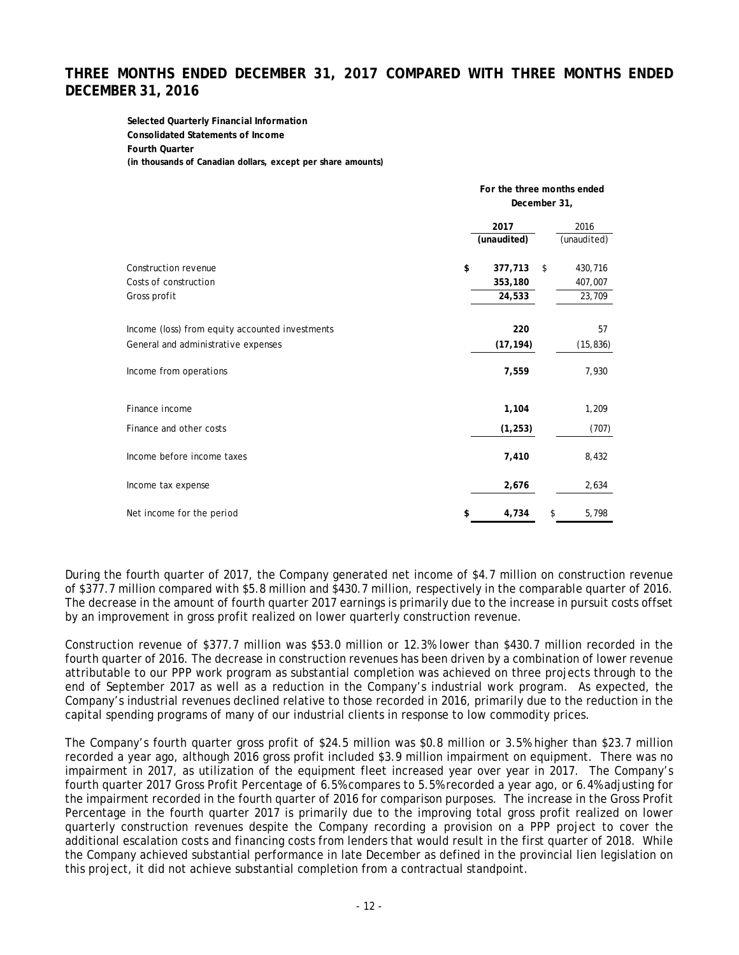# **THREE MONTHS ENDED DECEMBER 31, 2017 COMPARED WITH THREE MONTHS ENDED DECEMBER 31, 2016**

**Selected Quarterly Financial Information Consolidated Statements of Income Fourth Quarter (in thousands of Canadian dollars, except per share amounts)**

|                                                 | For the three months ended |    |             |  |  |
|-------------------------------------------------|----------------------------|----|-------------|--|--|
|                                                 | December 31,               |    |             |  |  |
|                                                 | 2017<br>2016               |    |             |  |  |
|                                                 | (unaudited)                |    | (unaudited) |  |  |
| Construction revenue                            | \$<br>377,713              | \$ | 430,716     |  |  |
| Costs of construction                           | 353,180                    |    | 407,007     |  |  |
| Gross profit                                    | 24,533<br>23,709           |    |             |  |  |
| Income (loss) from equity accounted investments | 220                        |    | 57          |  |  |
| General and administrative expenses             | (17, 194)                  |    | (15, 836)   |  |  |
| Income from operations                          | 7,559                      |    | 7,930       |  |  |
| Finance income                                  | 1,104                      |    | 1,209       |  |  |
| Finance and other costs                         | (1, 253)                   |    | (707)       |  |  |
| Income before income taxes                      | 7,410                      |    | 8,432       |  |  |
| Income tax expense                              | 2,676                      |    | 2,634       |  |  |
| Net income for the period                       | \$<br>4,734                | \$ | 5,798       |  |  |

During the fourth quarter of 2017, the Company generated net income of \$4.7 million on construction revenue of \$377.7 million compared with \$5.8 million and \$430.7 million, respectively in the comparable quarter of 2016. The decrease in the amount of fourth quarter 2017 earnings is primarily due to the increase in pursuit costs offset by an improvement in gross profit realized on lower quarterly construction revenue.

Construction revenue of \$377.7 million was \$53.0 million or 12.3% lower than \$430.7 million recorded in the fourth quarter of 2016. The decrease in construction revenues has been driven by a combination of lower revenue attributable to our PPP work program as substantial completion was achieved on three projects through to the end of September 2017 as well as a reduction in the Company's industrial work program. As expected, the Company's industrial revenues declined relative to those recorded in 2016, primarily due to the reduction in the capital spending programs of many of our industrial clients in response to low commodity prices.

The Company's fourth quarter gross profit of \$24.5 million was \$0.8 million or 3.5% higher than \$23.7 million recorded a year ago, although 2016 gross profit included \$3.9 million impairment on equipment. There was no impairment in 2017, as utilization of the equipment fleet increased year over year in 2017. The Company's fourth quarter 2017 Gross Profit Percentage of 6.5% compares to 5.5% recorded a year ago, or 6.4% adjusting for the impairment recorded in the fourth quarter of 2016 for comparison purposes. The increase in the Gross Profit Percentage in the fourth quarter 2017 is primarily due to the improving total gross profit realized on lower quarterly construction revenues despite the Company recording a provision on a PPP project to cover the additional escalation costs and financing costs from lenders that would result in the first quarter of 2018. While the Company achieved substantial performance in late December as defined in the provincial lien legislation on this project, it did not achieve substantial completion from a contractual standpoint.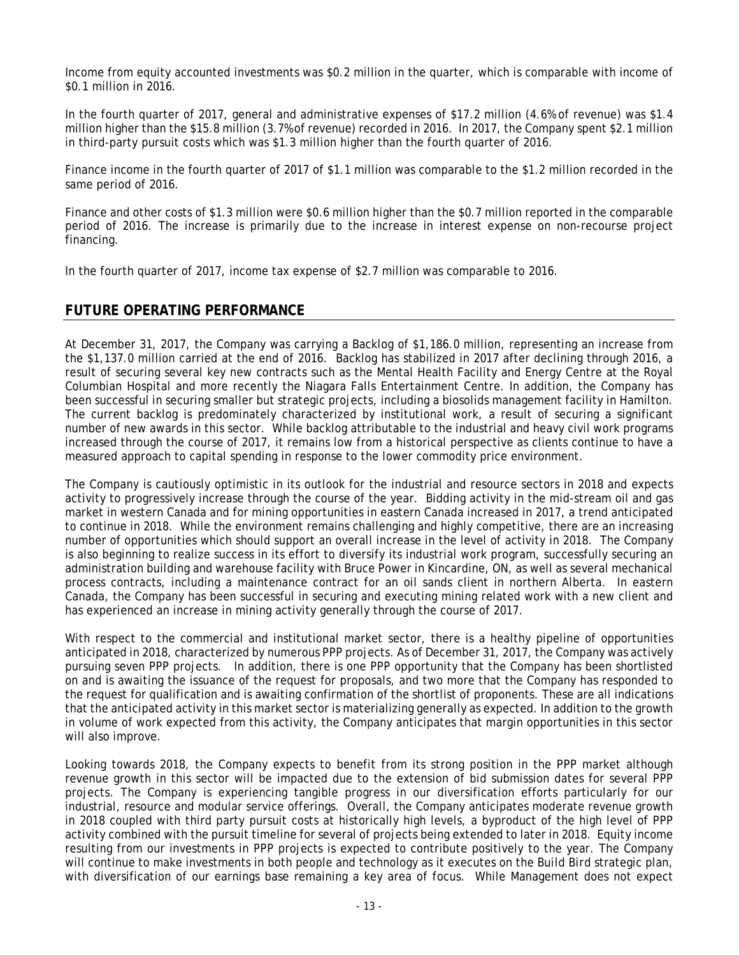Income from equity accounted investments was \$0.2 million in the quarter, which is comparable with income of \$0.1 million in 2016.

In the fourth quarter of 2017, general and administrative expenses of \$17.2 million (4.6% of revenue) was \$1.4 million higher than the \$15.8 million (3.7% of revenue) recorded in 2016. In 2017, the Company spent \$2.1 million in third-party pursuit costs which was \$1.3 million higher than the fourth quarter of 2016.

Finance income in the fourth quarter of 2017 of \$1.1 million was comparable to the \$1.2 million recorded in the same period of 2016.

Finance and other costs of \$1.3 million were \$0.6 million higher than the \$0.7 million reported in the comparable period of 2016. The increase is primarily due to the increase in interest expense on non-recourse project financing.

In the fourth quarter of 2017, income tax expense of \$2.7 million was comparable to 2016.

## **FUTURE OPERATING PERFORMANCE**

At December 31, 2017, the Company was carrying a Backlog of \$1,186.0 million, representing an increase from the \$1,137.0 million carried at the end of 2016. Backlog has stabilized in 2017 after declining through 2016, a result of securing several key new contracts such as the Mental Health Facility and Energy Centre at the Royal Columbian Hospital and more recently the Niagara Falls Entertainment Centre. In addition, the Company has been successful in securing smaller but strategic projects, including a biosolids management facility in Hamilton. The current backlog is predominately characterized by institutional work, a result of securing a significant number of new awards in this sector. While backlog attributable to the industrial and heavy civil work programs increased through the course of 2017, it remains low from a historical perspective as clients continue to have a measured approach to capital spending in response to the lower commodity price environment.

The Company is cautiously optimistic in its outlook for the industrial and resource sectors in 2018 and expects activity to progressively increase through the course of the year. Bidding activity in the mid-stream oil and gas market in western Canada and for mining opportunities in eastern Canada increased in 2017, a trend anticipated to continue in 2018. While the environment remains challenging and highly competitive, there are an increasing number of opportunities which should support an overall increase in the level of activity in 2018. The Company is also beginning to realize success in its effort to diversify its industrial work program, successfully securing an administration building and warehouse facility with Bruce Power in Kincardine, ON, as well as several mechanical process contracts, including a maintenance contract for an oil sands client in northern Alberta. In eastern Canada, the Company has been successful in securing and executing mining related work with a new client and has experienced an increase in mining activity generally through the course of 2017.

With respect to the commercial and institutional market sector, there is a healthy pipeline of opportunities anticipated in 2018, characterized by numerous PPP projects. As of December 31, 2017, the Company was actively pursuing seven PPP projects. In addition, there is one PPP opportunity that the Company has been shortlisted on and is awaiting the issuance of the request for proposals, and two more that the Company has responded to the request for qualification and is awaiting confirmation of the shortlist of proponents. These are all indications that the anticipated activity in this market sector is materializing generally as expected. In addition to the growth in volume of work expected from this activity, the Company anticipates that margin opportunities in this sector will also improve.

Looking towards 2018, the Company expects to benefit from its strong position in the PPP market although revenue growth in this sector will be impacted due to the extension of bid submission dates for several PPP projects. The Company is experiencing tangible progress in our diversification efforts particularly for our industrial, resource and modular service offerings. Overall, the Company anticipates moderate revenue growth in 2018 coupled with third party pursuit costs at historically high levels, a byproduct of the high level of PPP activity combined with the pursuit timeline for several of projects being extended to later in 2018. Equity income resulting from our investments in PPP projects is expected to contribute positively to the year. The Company will continue to make investments in both people and technology as it executes on the *Build Bird* strategic plan, with diversification of our earnings base remaining a key area of focus. While Management does not expect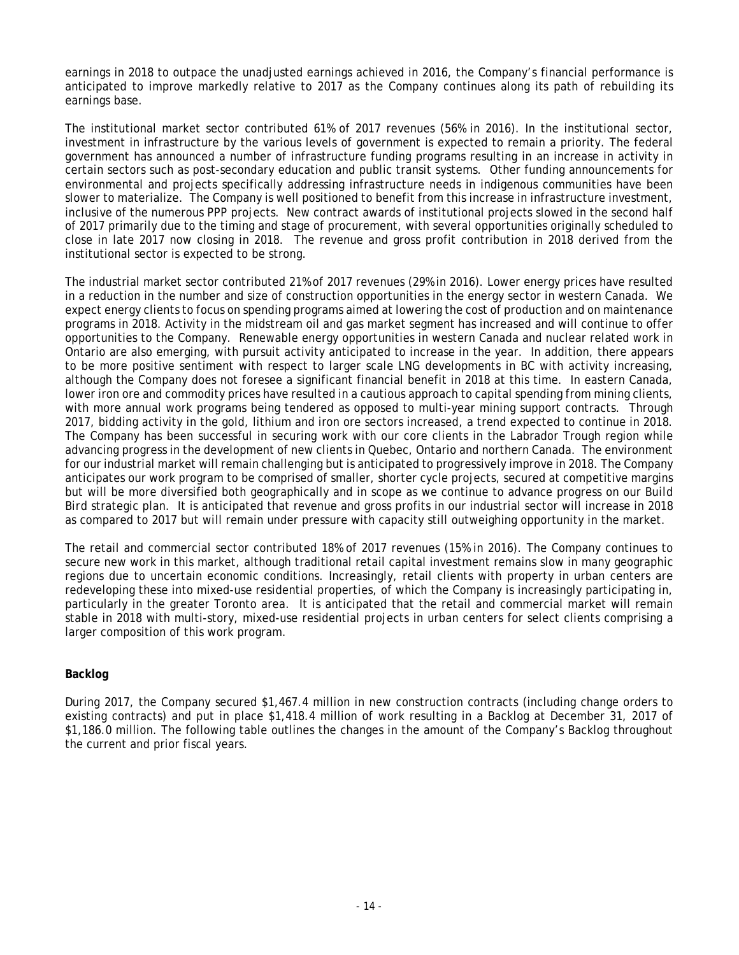earnings in 2018 to outpace the unadjusted earnings achieved in 2016, the Company's financial performance is anticipated to improve markedly relative to 2017 as the Company continues along its path of rebuilding its earnings base.

The institutional market sector contributed 61% of 2017 revenues (56% in 2016). In the institutional sector, investment in infrastructure by the various levels of government is expected to remain a priority. The federal government has announced a number of infrastructure funding programs resulting in an increase in activity in certain sectors such as post-secondary education and public transit systems. Other funding announcements for environmental and projects specifically addressing infrastructure needs in indigenous communities have been slower to materialize. The Company is well positioned to benefit from this increase in infrastructure investment, inclusive of the numerous PPP projects. New contract awards of institutional projects slowed in the second half of 2017 primarily due to the timing and stage of procurement, with several opportunities originally scheduled to close in late 2017 now closing in 2018. The revenue and gross profit contribution in 2018 derived from the institutional sector is expected to be strong.

The industrial market sector contributed 21% of 2017 revenues (29% in 2016). Lower energy prices have resulted in a reduction in the number and size of construction opportunities in the energy sector in western Canada. We expect energy clients to focus on spending programs aimed at lowering the cost of production and on maintenance programs in 2018. Activity in the midstream oil and gas market segment has increased and will continue to offer opportunities to the Company. Renewable energy opportunities in western Canada and nuclear related work in Ontario are also emerging, with pursuit activity anticipated to increase in the year. In addition, there appears to be more positive sentiment with respect to larger scale LNG developments in BC with activity increasing, although the Company does not foresee a significant financial benefit in 2018 at this time. In eastern Canada, lower iron ore and commodity prices have resulted in a cautious approach to capital spending from mining clients, with more annual work programs being tendered as opposed to multi-year mining support contracts. Through 2017, bidding activity in the gold, lithium and iron ore sectors increased, a trend expected to continue in 2018. The Company has been successful in securing work with our core clients in the Labrador Trough region while advancing progress in the development of new clients in Quebec, Ontario and northern Canada. The environment for our industrial market will remain challenging but is anticipated to progressively improve in 2018. The Company anticipates our work program to be comprised of smaller, shorter cycle projects, secured at competitive margins but will be more diversified both geographically and in scope as we continue to advance progress on our *Build Bird* strategic plan. It is anticipated that revenue and gross profits in our industrial sector will increase in 2018 as compared to 2017 but will remain under pressure with capacity still outweighing opportunity in the market.

The retail and commercial sector contributed 18% of 2017 revenues (15% in 2016). The Company continues to secure new work in this market, although traditional retail capital investment remains slow in many geographic regions due to uncertain economic conditions. Increasingly, retail clients with property in urban centers are redeveloping these into mixed-use residential properties, of which the Company is increasingly participating in, particularly in the greater Toronto area. It is anticipated that the retail and commercial market will remain stable in 2018 with multi-story, mixed-use residential projects in urban centers for select clients comprising a larger composition of this work program.

### **Backlog**

During 2017, the Company secured \$1,467.4 million in new construction contracts (including change orders to existing contracts) and put in place \$1,418.4 million of work resulting in a Backlog at December 31, 2017 of \$1,186.0 million. The following table outlines the changes in the amount of the Company's Backlog throughout the current and prior fiscal years.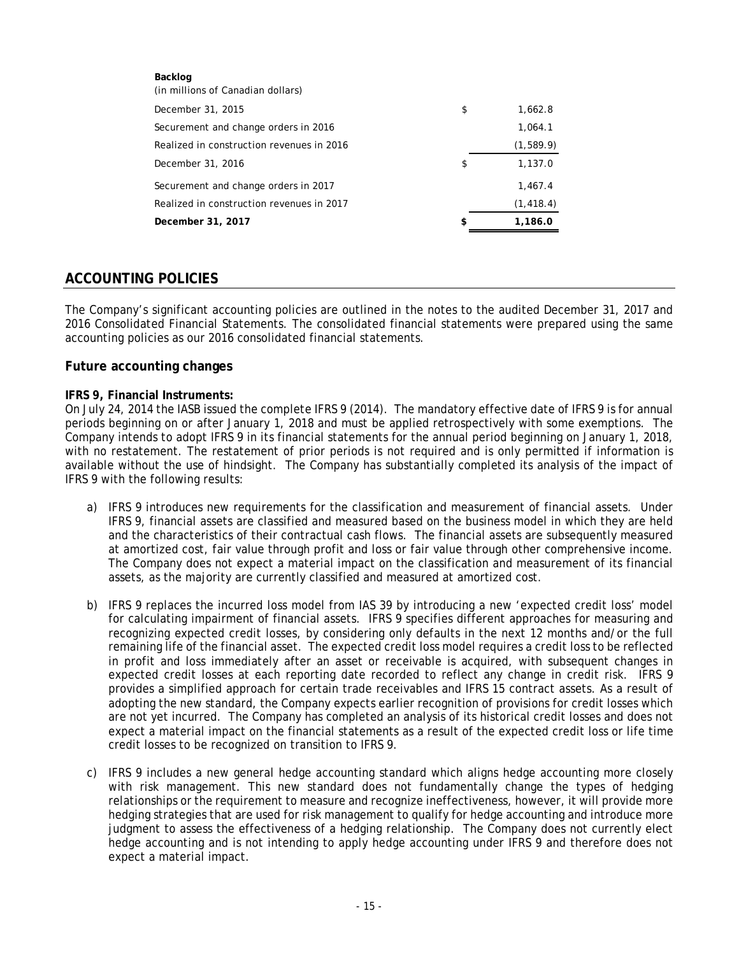| Backlog<br>(in millions of Canadian dollars) |               |
|----------------------------------------------|---------------|
| December 31, 2015                            | \$<br>1,662.8 |
| Securement and change orders in 2016         | 1.064.1       |
| Realized in construction revenues in 2016    | (1,589.9)     |
| December 31, 2016                            | \$<br>1,137.0 |
| Securement and change orders in 2017         | 1,467.4       |
| Realized in construction revenues in 2017    | (1, 418.4)    |
| December 31, 2017                            | \$<br>1,186.0 |

## **ACCOUNTING POLICIES**

The Company's significant accounting policies are outlined in the notes to the audited December 31, 2017 and 2016 Consolidated Financial Statements. The consolidated financial statements were prepared using the same accounting policies as our 2016 consolidated financial statements.

### **Future accounting changes**

#### **IFRS 9, Financial Instruments:**

On July 24, 2014 the IASB issued the complete IFRS 9 (2014). The mandatory effective date of IFRS 9 is for annual periods beginning on or after January 1, 2018 and must be applied retrospectively with some exemptions. The Company intends to adopt IFRS 9 in its financial statements for the annual period beginning on January 1, 2018, with no restatement. The restatement of prior periods is not required and is only permitted if information is available without the use of hindsight. The Company has substantially completed its analysis of the impact of IFRS 9 with the following results:

- a) IFRS 9 introduces new requirements for the classification and measurement of financial assets. Under IFRS 9, financial assets are classified and measured based on the business model in which they are held and the characteristics of their contractual cash flows. The financial assets are subsequently measured at amortized cost, fair value through profit and loss or fair value through other comprehensive income. The Company does not expect a material impact on the classification and measurement of its financial assets, as the majority are currently classified and measured at amortized cost.
- b) IFRS 9 replaces the incurred loss model from IAS 39 by introducing a new 'expected credit loss' model for calculating impairment of financial assets. IFRS 9 specifies different approaches for measuring and recognizing expected credit losses, by considering only defaults in the next 12 months and/or the full remaining life of the financial asset. The expected credit loss model requires a credit loss to be reflected in profit and loss immediately after an asset or receivable is acquired, with subsequent changes in expected credit losses at each reporting date recorded to reflect any change in credit risk. IFRS 9 provides a simplified approach for certain trade receivables and IFRS 15 contract assets. As a result of adopting the new standard, the Company expects earlier recognition of provisions for credit losses which are not yet incurred. The Company has completed an analysis of its historical credit losses and does not expect a material impact on the financial statements as a result of the expected credit loss or life time credit losses to be recognized on transition to IFRS 9.
- c) IFRS 9 includes a new general hedge accounting standard which aligns hedge accounting more closely with risk management. This new standard does not fundamentally change the types of hedging relationships or the requirement to measure and recognize ineffectiveness, however, it will provide more hedging strategies that are used for risk management to qualify for hedge accounting and introduce more judgment to assess the effectiveness of a hedging relationship. The Company does not currently elect hedge accounting and is not intending to apply hedge accounting under IFRS 9 and therefore does not expect a material impact.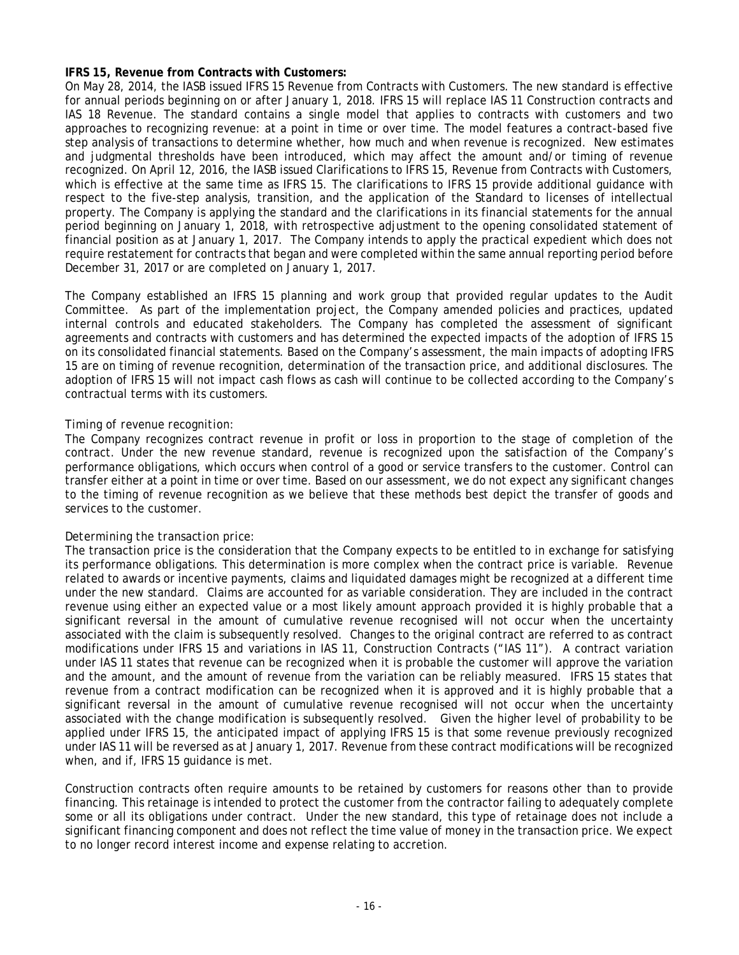### **IFRS 15, Revenue from Contracts with Customers:**

On May 28, 2014, the IASB issued IFRS 15 Revenue from Contracts with Customers. The new standard is effective for annual periods beginning on or after January 1, 2018. IFRS 15 will replace IAS 11 Construction contracts and IAS 18 Revenue. The standard contains a single model that applies to contracts with customers and two approaches to recognizing revenue: at a point in time or over time. The model features a contract-based five step analysis of transactions to determine whether, how much and when revenue is recognized. New estimates and judgmental thresholds have been introduced, which may affect the amount and/or timing of revenue recognized. On April 12, 2016, the IASB issued Clarifications to IFRS 15, Revenue from Contracts with Customers, which is effective at the same time as IFRS 15. The clarifications to IFRS 15 provide additional guidance with respect to the five-step analysis, transition, and the application of the Standard to licenses of intellectual property. The Company is applying the standard and the clarifications in its financial statements for the annual period beginning on January 1, 2018, with retrospective adjustment to the opening consolidated statement of financial position as at January 1, 2017. The Company intends to apply the practical expedient which does not require restatement for contracts that began and were completed within the same annual reporting period before December 31, 2017 or are completed on January 1, 2017.

The Company established an IFRS 15 planning and work group that provided regular updates to the Audit Committee. As part of the implementation project, the Company amended policies and practices, updated internal controls and educated stakeholders. The Company has completed the assessment of significant agreements and contracts with customers and has determined the expected impacts of the adoption of IFRS 15 on its consolidated financial statements. Based on the Company's assessment, the main impacts of adopting IFRS 15 are on timing of revenue recognition, determination of the transaction price, and additional disclosures. The adoption of IFRS 15 will not impact cash flows as cash will continue to be collected according to the Company's contractual terms with its customers.

### *Timing of revenue recognition:*

The Company recognizes contract revenue in profit or loss in proportion to the stage of completion of the contract. Under the new revenue standard, revenue is recognized upon the satisfaction of the Company's performance obligations, which occurs when control of a good or service transfers to the customer. Control can transfer either at a point in time or over time. Based on our assessment, we do not expect any significant changes to the timing of revenue recognition as we believe that these methods best depict the transfer of goods and services to the customer.

#### *Determining the transaction price:*

The transaction price is the consideration that the Company expects to be entitled to in exchange for satisfying its performance obligations. This determination is more complex when the contract price is variable. Revenue related to awards or incentive payments, claims and liquidated damages might be recognized at a different time under the new standard. Claims are accounted for as variable consideration. They are included in the contract revenue using either an expected value or a most likely amount approach provided it is highly probable that a significant reversal in the amount of cumulative revenue recognised will not occur when the uncertainty associated with the claim is subsequently resolved. Changes to the original contract are referred to as contract modifications under IFRS 15 and variations in IAS 11, Construction Contracts ("IAS 11"). A contract variation under IAS 11 states that revenue can be recognized when it is probable the customer will approve the variation and the amount, and the amount of revenue from the variation can be reliably measured. IFRS 15 states that revenue from a contract modification can be recognized when it is approved and it is highly probable that a significant reversal in the amount of cumulative revenue recognised will not occur when the uncertainty associated with the change modification is subsequently resolved. Given the higher level of probability to be applied under IFRS 15, the anticipated impact of applying IFRS 15 is that some revenue previously recognized under IAS 11 will be reversed as at January 1, 2017. Revenue from these contract modifications will be recognized when, and if, IFRS 15 guidance is met.

Construction contracts often require amounts to be retained by customers for reasons other than to provide financing. This retainage is intended to protect the customer from the contractor failing to adequately complete some or all its obligations under contract. Under the new standard, this type of retainage does not include a significant financing component and does not reflect the time value of money in the transaction price. We expect to no longer record interest income and expense relating to accretion.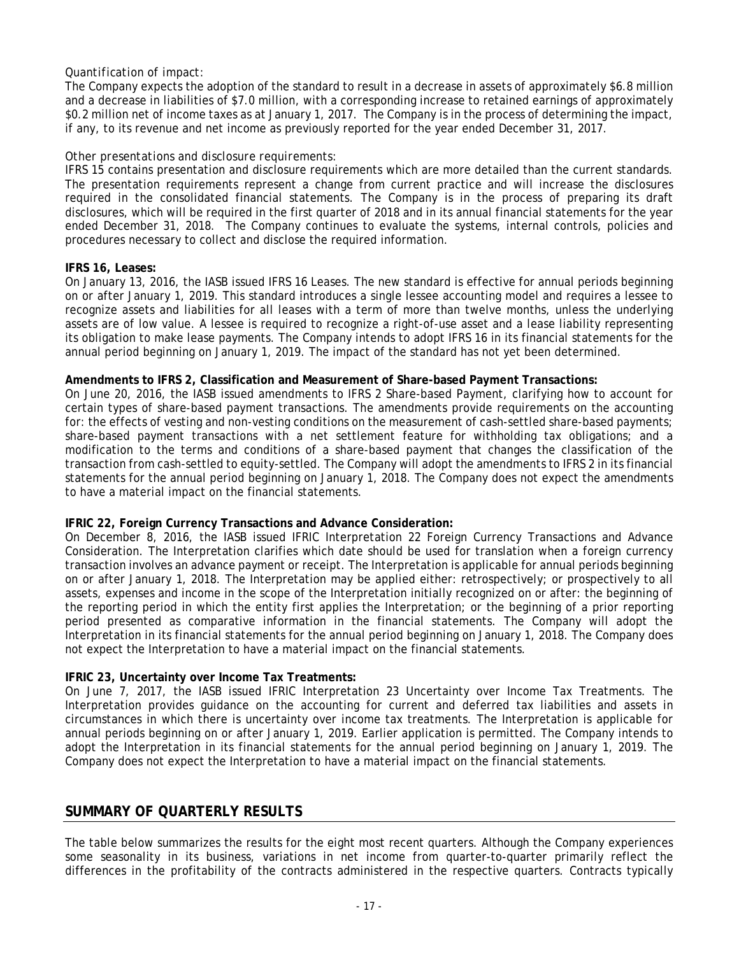### *Quantification of impact:*

The Company expects the adoption of the standard to result in a decrease in assets of approximately \$6.8 million and a decrease in liabilities of \$7.0 million, with a corresponding increase to retained earnings of approximately \$0.2 million net of income taxes as at January 1, 2017. The Company is in the process of determining the impact, if any, to its revenue and net income as previously reported for the year ended December 31, 2017.

### *Other presentations and disclosure requirements:*

IFRS 15 contains presentation and disclosure requirements which are more detailed than the current standards. The presentation requirements represent a change from current practice and will increase the disclosures required in the consolidated financial statements. The Company is in the process of preparing its draft disclosures, which will be required in the first quarter of 2018 and in its annual financial statements for the year ended December 31, 2018. The Company continues to evaluate the systems, internal controls, policies and procedures necessary to collect and disclose the required information.

### **IFRS 16, Leases:**

On January 13, 2016, the IASB issued IFRS 16 Leases. The new standard is effective for annual periods beginning on or after January 1, 2019. This standard introduces a single lessee accounting model and requires a lessee to recognize assets and liabilities for all leases with a term of more than twelve months, unless the underlying assets are of low value. A lessee is required to recognize a right-of-use asset and a lease liability representing its obligation to make lease payments. The Company intends to adopt IFRS 16 in its financial statements for the annual period beginning on January 1, 2019. The impact of the standard has not yet been determined.

### **Amendments to IFRS 2, Classification and Measurement of Share-based Payment Transactions:**

On June 20, 2016, the IASB issued amendments to IFRS 2 Share-based Payment, clarifying how to account for certain types of share-based payment transactions. The amendments provide requirements on the accounting for: the effects of vesting and non-vesting conditions on the measurement of cash-settled share-based payments; share-based payment transactions with a net settlement feature for withholding tax obligations; and a modification to the terms and conditions of a share-based payment that changes the classification of the transaction from cash-settled to equity-settled. The Company will adopt the amendments to IFRS 2 in its financial statements for the annual period beginning on January 1, 2018. The Company does not expect the amendments to have a material impact on the financial statements.

### **IFRIC 22, Foreign Currency Transactions and Advance Consideration:**

On December 8, 2016, the IASB issued IFRIC Interpretation 22 Foreign Currency Transactions and Advance Consideration. The Interpretation clarifies which date should be used for translation when a foreign currency transaction involves an advance payment or receipt. The Interpretation is applicable for annual periods beginning on or after January 1, 2018. The Interpretation may be applied either: retrospectively; or prospectively to all assets, expenses and income in the scope of the Interpretation initially recognized on or after: the beginning of the reporting period in which the entity first applies the Interpretation; or the beginning of a prior reporting period presented as comparative information in the financial statements. The Company will adopt the Interpretation in its financial statements for the annual period beginning on January 1, 2018. The Company does not expect the Interpretation to have a material impact on the financial statements.

### **IFRIC 23, Uncertainty over Income Tax Treatments:**

On June 7, 2017, the IASB issued IFRIC Interpretation 23 Uncertainty over Income Tax Treatments. The Interpretation provides guidance on the accounting for current and deferred tax liabilities and assets in circumstances in which there is uncertainty over income tax treatments. The Interpretation is applicable for annual periods beginning on or after January 1, 2019. Earlier application is permitted. The Company intends to adopt the Interpretation in its financial statements for the annual period beginning on January 1, 2019. The Company does not expect the Interpretation to have a material impact on the financial statements.

### **SUMMARY OF QUARTERLY RESULTS**

The table below summarizes the results for the eight most recent quarters. Although the Company experiences some seasonality in its business, variations in net income from quarter-to-quarter primarily reflect the differences in the profitability of the contracts administered in the respective quarters. Contracts typically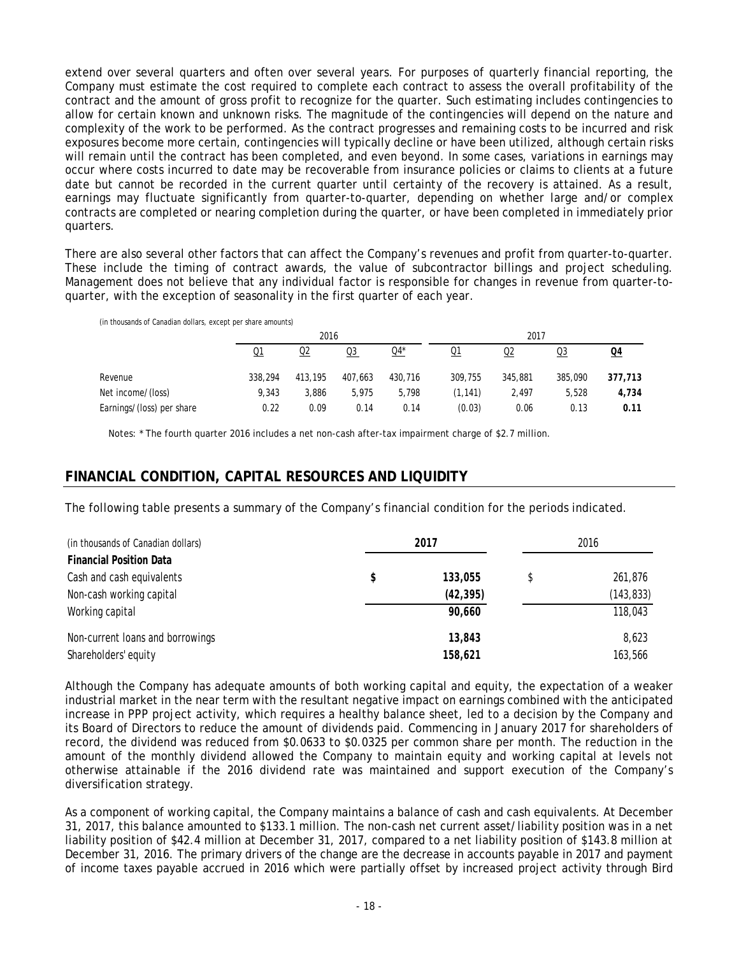extend over several quarters and often over several years. For purposes of quarterly financial reporting, the Company must estimate the cost required to complete each contract to assess the overall profitability of the contract and the amount of gross profit to recognize for the quarter. Such estimating includes contingencies to allow for certain known and unknown risks. The magnitude of the contingencies will depend on the nature and complexity of the work to be performed. As the contract progresses and remaining costs to be incurred and risk exposures become more certain, contingencies will typically decline or have been utilized, although certain risks will remain until the contract has been completed, and even beyond. In some cases, variations in earnings may occur where costs incurred to date may be recoverable from insurance policies or claims to clients at a future date but cannot be recorded in the current quarter until certainty of the recovery is attained. As a result, earnings may fluctuate significantly from quarter-to-quarter, depending on whether large and/or complex contracts are completed or nearing completion during the quarter, or have been completed in immediately prior quarters.

There are also several other factors that can affect the Company's revenues and profit from quarter-to-quarter. These include the timing of contract awards, the value of subcontractor billings and project scheduling. Management does not believe that any individual factor is responsible for changes in revenue from quarter-toquarter, with the exception of seasonality in the first quarter of each year.

(in thousands of Canadian dollars, except per share amounts)

|                           |         | 2016      |         |         |                | 2017    |         |                 |
|---------------------------|---------|-----------|---------|---------|----------------|---------|---------|-----------------|
|                           | Q1      | <u>02</u> | Q3      | Q4*     | Q <sub>1</sub> | Q2      | Q3      | $\overline{04}$ |
| Revenue                   | 338,294 | 413,195   | 407.663 | 430.716 | 309,755        | 345,881 | 385,090 | 377,713         |
| Net income/(loss)         | 9.343   | 3.886     | 5.975   | 5.798   | (1, 141)       | 2.497   | 5.528   | 4,734           |
| Earnings/(loss) per share | 0.22    | 0.09      | 0.14    | 0.14    | (0.03)         | 0.06    | 0.13    | 0.11            |

Notes: \* The fourth quarter 2016 includes a net non-cash after-tax impairment charge of \$2.7 million.

### **FINANCIAL CONDITION, CAPITAL RESOURCES AND LIQUIDITY**

The following table presents a summary of the Company's financial condition for the periods indicated.

| (in thousands of Canadian dollars) | 2017          | 2016          |  |  |
|------------------------------------|---------------|---------------|--|--|
| <b>Financial Position Data</b>     |               |               |  |  |
| Cash and cash equivalents          | \$<br>133,055 | \$<br>261,876 |  |  |
| Non-cash working capital           | (42, 395)     | (143, 833)    |  |  |
| Working capital                    | 90,660        | 118,043       |  |  |
| Non-current loans and borrowings   | 13,843        | 8,623         |  |  |
| Shareholders' equity               | 158,621       | 163,566       |  |  |

Although the Company has adequate amounts of both working capital and equity, the expectation of a weaker industrial market in the near term with the resultant negative impact on earnings combined with the anticipated increase in PPP project activity, which requires a healthy balance sheet, led to a decision by the Company and its Board of Directors to reduce the amount of dividends paid. Commencing in January 2017 for shareholders of record, the dividend was reduced from \$0.0633 to \$0.0325 per common share per month. The reduction in the amount of the monthly dividend allowed the Company to maintain equity and working capital at levels not otherwise attainable if the 2016 dividend rate was maintained and support execution of the Company's diversification strategy.

As a component of working capital, the Company maintains a balance of cash and cash equivalents. At December 31, 2017, this balance amounted to \$133.1 million. The non-cash net current asset/liability position was in a net liability position of \$42.4 million at December 31, 2017, compared to a net liability position of \$143.8 million at December 31, 2016. The primary drivers of the change are the decrease in accounts payable in 2017 and payment of income taxes payable accrued in 2016 which were partially offset by increased project activity through Bird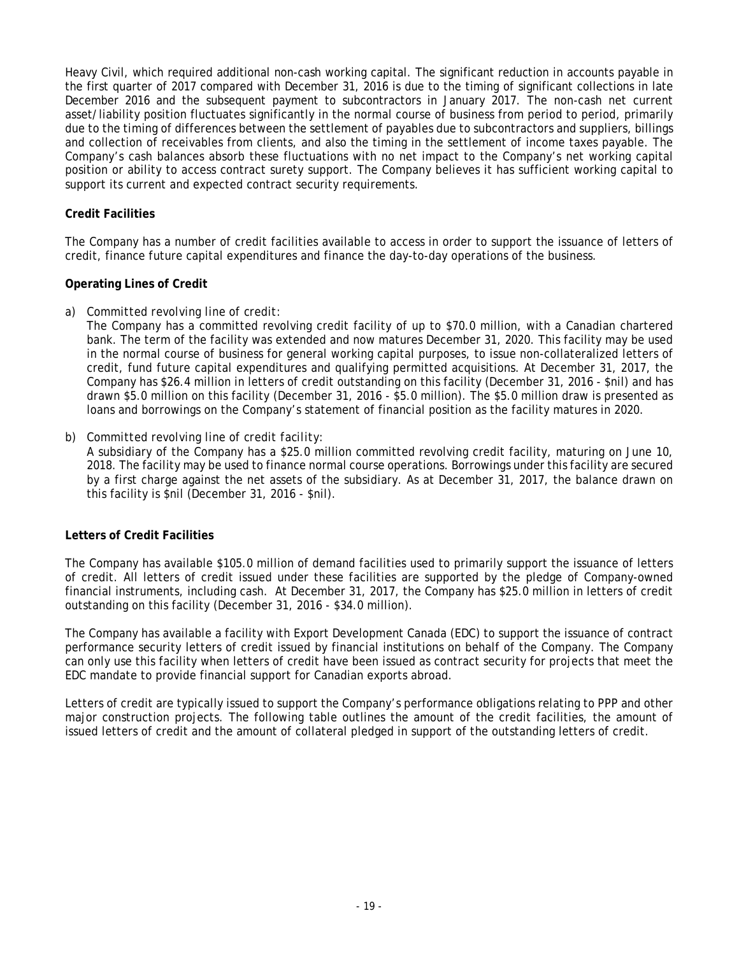Heavy Civil, which required additional non-cash working capital. The significant reduction in accounts payable in the first quarter of 2017 compared with December 31, 2016 is due to the timing of significant collections in late December 2016 and the subsequent payment to subcontractors in January 2017. The non-cash net current asset/liability position fluctuates significantly in the normal course of business from period to period, primarily due to the timing of differences between the settlement of payables due to subcontractors and suppliers, billings and collection of receivables from clients, and also the timing in the settlement of income taxes payable. The Company's cash balances absorb these fluctuations with no net impact to the Company's net working capital position or ability to access contract surety support. The Company believes it has sufficient working capital to support its current and expected contract security requirements.

### **Credit Facilities**

The Company has a number of credit facilities available to access in order to support the issuance of letters of credit, finance future capital expenditures and finance the day-to-day operations of the business.

### **Operating Lines of Credit**

### *a) Committed revolving line of credit:*

The Company has a committed revolving credit facility of up to \$70.0 million, with a Canadian chartered bank. The term of the facility was extended and now matures December 31, 2020. This facility may be used in the normal course of business for general working capital purposes, to issue non-collateralized letters of credit, fund future capital expenditures and qualifying permitted acquisitions. At December 31, 2017, the Company has \$26.4 million in letters of credit outstanding on this facility (December 31, 2016 - \$nil) and has drawn \$5.0 million on this facility (December 31, 2016 - \$5.0 million). The \$5.0 million draw is presented as loans and borrowings on the Company's statement of financial position as the facility matures in 2020.

### *b) Committed revolving line of credit facility*:

A subsidiary of the Company has a \$25.0 million committed revolving credit facility, maturing on June 10, 2018. The facility may be used to finance normal course operations. Borrowings under this facility are secured by a first charge against the net assets of the subsidiary. As at December 31, 2017, the balance drawn on this facility is \$nil (December 31, 2016 - \$nil).

#### **Letters of Credit Facilities**

The Company has available \$105.0 million of demand facilities used to primarily support the issuance of letters of credit. All letters of credit issued under these facilities are supported by the pledge of Company-owned financial instruments, including cash. At December 31, 2017, the Company has \$25.0 million in letters of credit outstanding on this facility (December 31, 2016 - \$34.0 million).

The Company has available a facility with Export Development Canada (EDC) to support the issuance of contract performance security letters of credit issued by financial institutions on behalf of the Company. The Company can only use this facility when letters of credit have been issued as contract security for projects that meet the EDC mandate to provide financial support for Canadian exports abroad.

Letters of credit are typically issued to support the Company's performance obligations relating to PPP and other major construction projects. The following table outlines the amount of the credit facilities, the amount of issued letters of credit and the amount of collateral pledged in support of the outstanding letters of credit.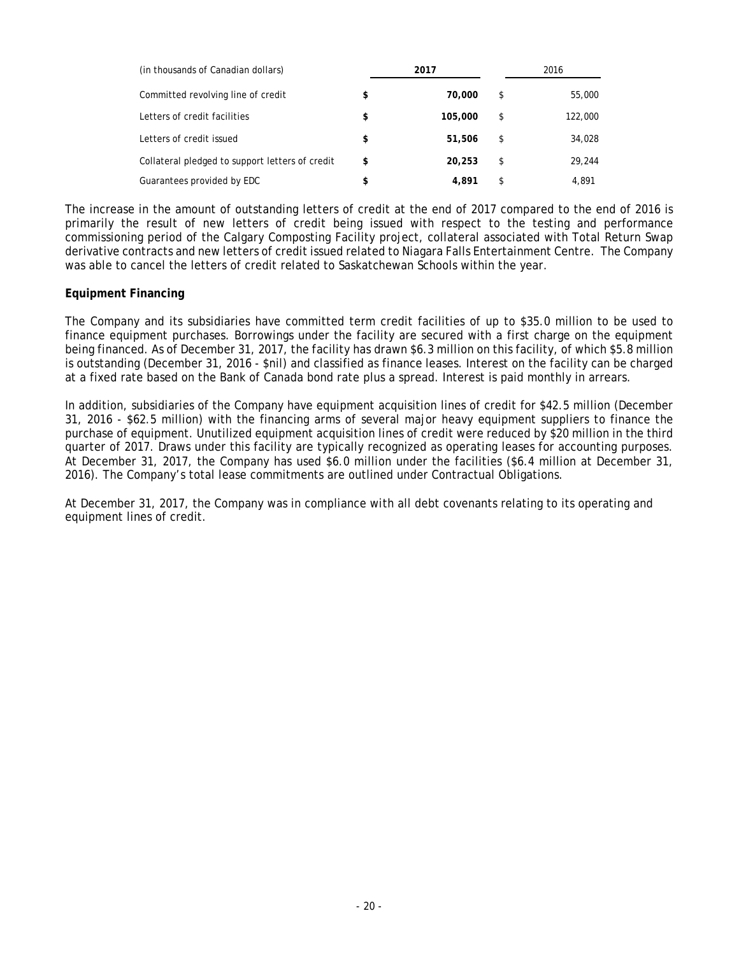| (in thousands of Canadian dollars)              |    | 2017    | 2016          |
|-------------------------------------------------|----|---------|---------------|
| Committed revolving line of credit              | \$ | 70,000  | \$<br>55,000  |
| Letters of credit facilities                    | \$ | 105,000 | \$<br>122,000 |
| Letters of credit issued                        | \$ | 51,506  | \$<br>34,028  |
| Collateral pledged to support letters of credit | \$ | 20,253  | \$<br>29.244  |
| Guarantees provided by EDC                      | \$ | 4.891   | \$<br>4.891   |

The increase in the amount of outstanding letters of credit at the end of 2017 compared to the end of 2016 is primarily the result of new letters of credit being issued with respect to the testing and performance commissioning period of the Calgary Composting Facility project, collateral associated with Total Return Swap derivative contracts and new letters of credit issued related to Niagara Falls Entertainment Centre. The Company was able to cancel the letters of credit related to Saskatchewan Schools within the year.

### **Equipment Financing**

The Company and its subsidiaries have committed term credit facilities of up to \$35.0 million to be used to finance equipment purchases. Borrowings under the facility are secured with a first charge on the equipment being financed. As of December 31, 2017, the facility has drawn \$6.3 million on this facility, of which \$5.8 million is outstanding (December 31, 2016 - \$nil) and classified as finance leases. Interest on the facility can be charged at a fixed rate based on the Bank of Canada bond rate plus a spread. Interest is paid monthly in arrears.

In addition, subsidiaries of the Company have equipment acquisition lines of credit for \$42.5 million (December 31, 2016 - \$62.5 million) with the financing arms of several major heavy equipment suppliers to finance the purchase of equipment. Unutilized equipment acquisition lines of credit were reduced by \$20 million in the third quarter of 2017. Draws under this facility are typically recognized as operating leases for accounting purposes. At December 31, 2017, the Company has used \$6.0 million under the facilities (\$6.4 million at December 31, 2016). The Company's total lease commitments are outlined under Contractual Obligations.

At December 31, 2017, the Company was in compliance with all debt covenants relating to its operating and equipment lines of credit.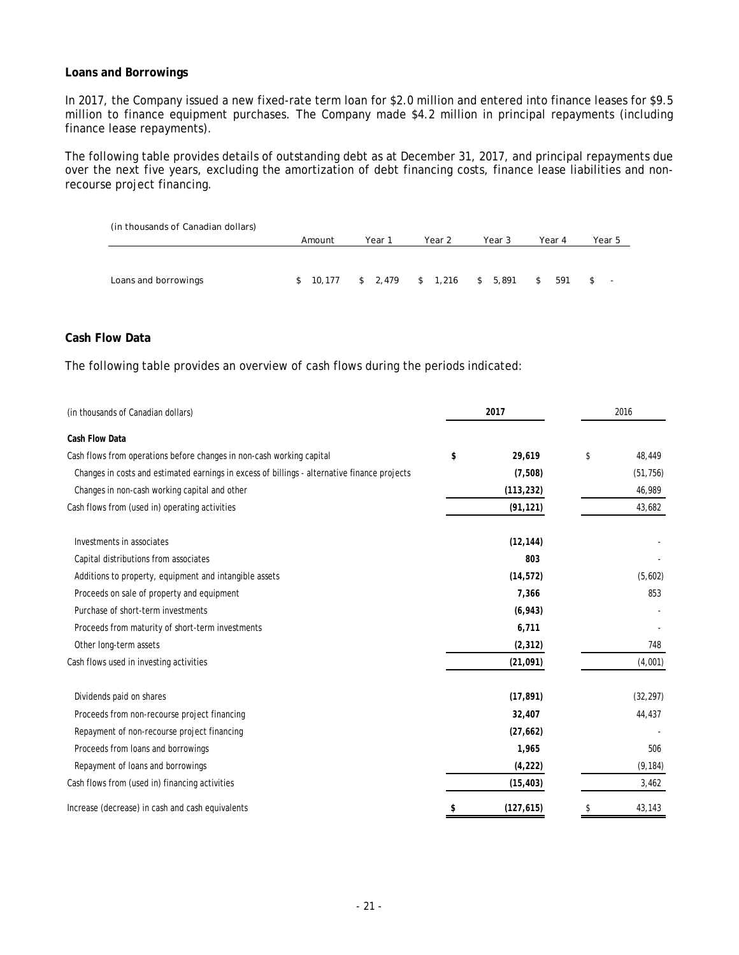### **Loans and Borrowings**

In 2017, the Company issued a new fixed-rate term loan for \$2.0 million and entered into finance leases for \$9.5 million to finance equipment purchases. The Company made \$4.2 million in principal repayments (including finance lease repayments).

The following table provides details of outstanding debt as at December 31, 2017, and principal repayments due over the next five years, excluding the amortization of debt financing costs, finance lease liabilities and nonrecourse project financing.

| (in thousands of Canadian dollars) |        |        |                                      |        |           |                                      |
|------------------------------------|--------|--------|--------------------------------------|--------|-----------|--------------------------------------|
|                                    | Amount | Year 1 | Year 2                               | Year 3 | Year 4    | Year 5                               |
|                                    |        |        |                                      |        |           |                                      |
| Loans and borrowings               |        |        | $$10,177$ $$2,479$ $$1,216$ $$5,891$ |        | 591<br>\$ | <b>S</b><br>$\overline{\phantom{a}}$ |

### **Cash Flow Data**

The following table provides an overview of cash flows during the periods indicated:

| (in thousands of Canadian dollars)                                                           | 2017 |            | 2016 |           |  |
|----------------------------------------------------------------------------------------------|------|------------|------|-----------|--|
| Cash Flow Data                                                                               |      |            |      |           |  |
| Cash flows from operations before changes in non-cash working capital                        | \$   | 29,619     | \$   | 48,449    |  |
| Changes in costs and estimated earnings in excess of billings - alternative finance projects |      | (7,508)    |      | (51, 756) |  |
| Changes in non-cash working capital and other                                                |      | (113, 232) |      | 46,989    |  |
| Cash flows from (used in) operating activities                                               |      | (91, 121)  |      | 43,682    |  |
| Investments in associates                                                                    |      | (12, 144)  |      |           |  |
| Capital distributions from associates                                                        |      | 803        |      |           |  |
| Additions to property, equipment and intangible assets                                       |      | (14, 572)  |      | (5,602)   |  |
| Proceeds on sale of property and equipment                                                   |      | 7,366      |      | 853       |  |
| Purchase of short-term investments                                                           |      | (6, 943)   |      |           |  |
| Proceeds from maturity of short-term investments                                             |      | 6,711      |      |           |  |
| Other long-term assets                                                                       |      | (2, 312)   |      | 748       |  |
| Cash flows used in investing activities                                                      |      | (21, 091)  |      | (4,001)   |  |
| Dividends paid on shares                                                                     |      | (17, 891)  |      | (32, 297) |  |
| Proceeds from non-recourse project financing                                                 |      | 32,407     |      | 44,437    |  |
| Repayment of non-recourse project financing                                                  |      | (27, 662)  |      |           |  |
| Proceeds from loans and borrowings                                                           |      | 1,965      |      | 506       |  |
| Repayment of loans and borrowings                                                            |      | (4, 222)   |      | (9, 184)  |  |
| Cash flows from (used in) financing activities                                               |      | (15, 403)  |      | 3,462     |  |
| Increase (decrease) in cash and cash equivalents                                             | \$   | (127, 615) | \$   | 43,143    |  |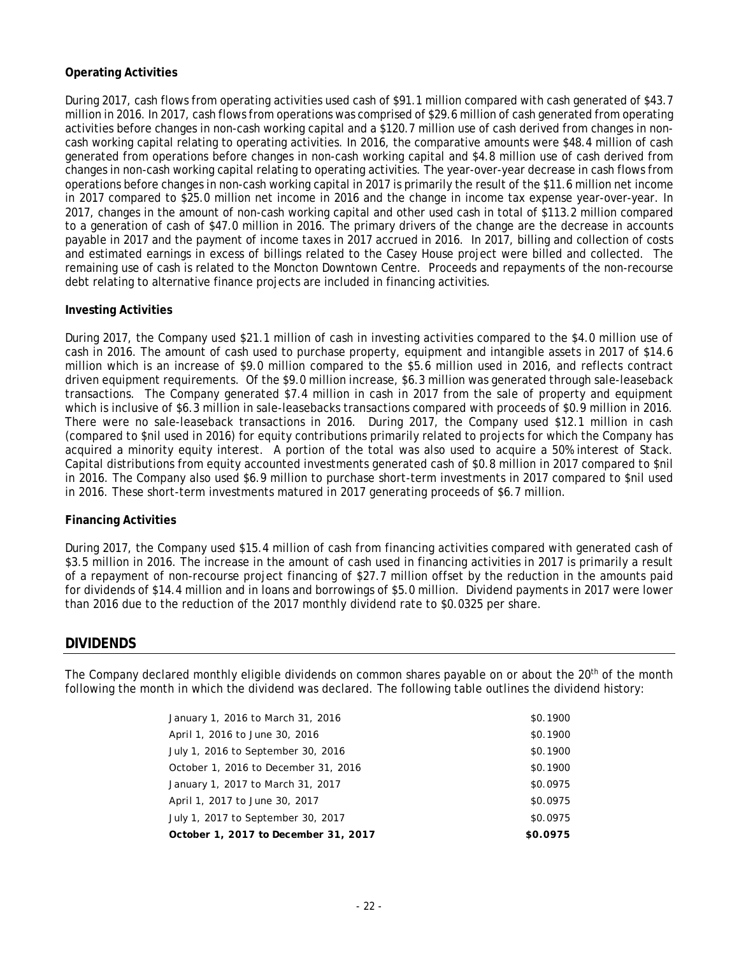### **Operating Activities**

During 2017, cash flows from operating activities used cash of \$91.1 million compared with cash generated of \$43.7 million in 2016. In 2017, cash flows from operations was comprised of \$29.6 million of cash generated from operating activities before changes in non-cash working capital and a \$120.7 million use of cash derived from changes in noncash working capital relating to operating activities. In 2016, the comparative amounts were \$48.4 million of cash generated from operations before changes in non-cash working capital and \$4.8 million use of cash derived from changes in non-cash working capital relating to operating activities. The year-over-year decrease in cash flows from operations before changes in non-cash working capital in 2017 is primarily the result of the \$11.6 million net income in 2017 compared to \$25.0 million net income in 2016 and the change in income tax expense year-over-year. In 2017, changes in the amount of non-cash working capital and other used cash in total of \$113.2 million compared to a generation of cash of \$47.0 million in 2016. The primary drivers of the change are the decrease in accounts payable in 2017 and the payment of income taxes in 2017 accrued in 2016. In 2017, billing and collection of costs and estimated earnings in excess of billings related to the Casey House project were billed and collected. The remaining use of cash is related to the Moncton Downtown Centre. Proceeds and repayments of the non-recourse debt relating to alternative finance projects are included in financing activities.

### **Investing Activities**

During 2017, the Company used \$21.1 million of cash in investing activities compared to the \$4.0 million use of cash in 2016. The amount of cash used to purchase property, equipment and intangible assets in 2017 of \$14.6 million which is an increase of \$9.0 million compared to the \$5.6 million used in 2016, and reflects contract driven equipment requirements. Of the \$9.0 million increase, \$6.3 million was generated through sale-leaseback transactions. The Company generated \$7.4 million in cash in 2017 from the sale of property and equipment which is inclusive of \$6.3 million in sale-leasebacks transactions compared with proceeds of \$0.9 million in 2016. There were no sale-leaseback transactions in 2016. During 2017, the Company used \$12.1 million in cash (compared to \$nil used in 2016) for equity contributions primarily related to projects for which the Company has acquired a minority equity interest. A portion of the total was also used to acquire a 50% interest of Stack. Capital distributions from equity accounted investments generated cash of \$0.8 million in 2017 compared to \$nil in 2016. The Company also used \$6.9 million to purchase short-term investments in 2017 compared to \$nil used in 2016. These short-term investments matured in 2017 generating proceeds of \$6.7 million.

### **Financing Activities**

During 2017, the Company used \$15.4 million of cash from financing activities compared with generated cash of \$3.5 million in 2016. The increase in the amount of cash used in financing activities in 2017 is primarily a result of a repayment of non-recourse project financing of \$27.7 million offset by the reduction in the amounts paid for dividends of \$14.4 million and in loans and borrowings of \$5.0 million. Dividend payments in 2017 were lower than 2016 due to the reduction of the 2017 monthly dividend rate to \$0.0325 per share.

### **DIVIDENDS**

The Company declared monthly eligible dividends on common shares payable on or about the 20<sup>th</sup> of the month following the month in which the dividend was declared. The following table outlines the dividend history:

| January 1, 2016 to March 31, 2016    | \$0.1900 |
|--------------------------------------|----------|
| April 1, 2016 to June 30, 2016       | \$0.1900 |
| July 1, 2016 to September 30, 2016   | \$0.1900 |
| October 1, 2016 to December 31, 2016 | \$0.1900 |
| January 1, 2017 to March 31, 2017    | \$0.0975 |
| April 1, 2017 to June 30, 2017       | \$0.0975 |
| July 1, 2017 to September 30, 2017   | \$0.0975 |
| October 1, 2017 to December 31, 2017 | \$0.0975 |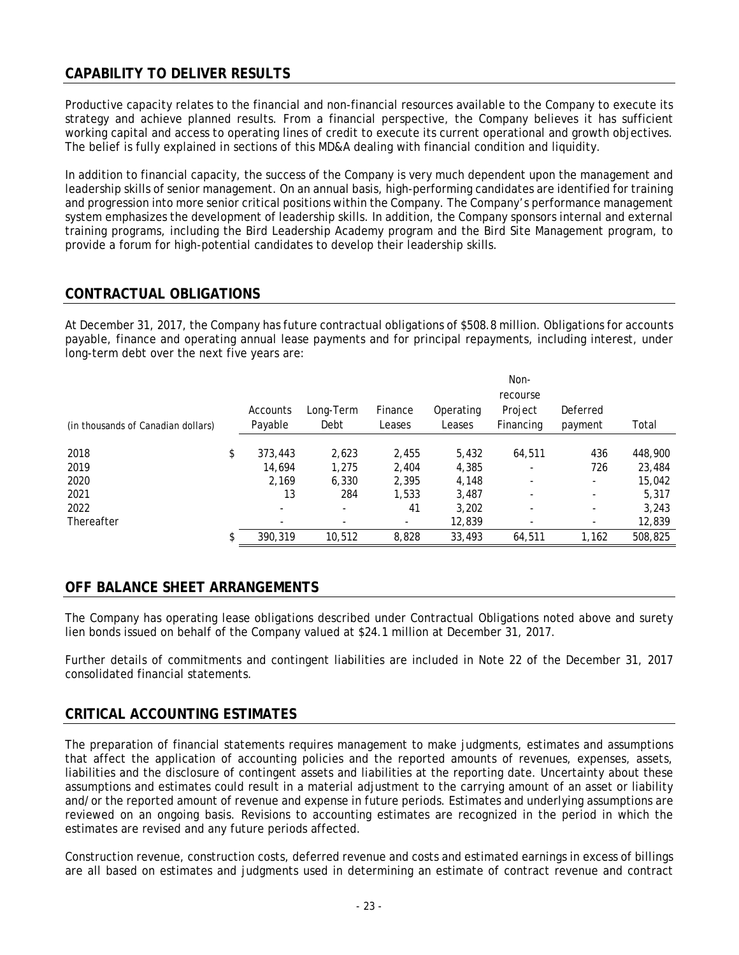# **CAPABILITY TO DELIVER RESULTS**

Productive capacity relates to the financial and non-financial resources available to the Company to execute its strategy and achieve planned results. From a financial perspective, the Company believes it has sufficient working capital and access to operating lines of credit to execute its current operational and growth objectives. The belief is fully explained in sections of this MD&A dealing with financial condition and liquidity.

In addition to financial capacity, the success of the Company is very much dependent upon the management and leadership skills of senior management. On an annual basis, high-performing candidates are identified for training and progression into more senior critical positions within the Company. The Company's performance management system emphasizes the development of leadership skills. In addition, the Company sponsors internal and external training programs, including the Bird Leadership Academy program and the Bird Site Management program, to provide a forum for high-potential candidates to develop their leadership skills.

# **CONTRACTUAL OBLIGATIONS**

At December 31, 2017, the Company has future contractual obligations of \$508.8 million. Obligations for accounts payable, finance and operating annual lease payments and for principal repayments, including interest, under long-term debt over the next five years are:

|                                    |                          |           |         |           | Non-      |          |         |
|------------------------------------|--------------------------|-----------|---------|-----------|-----------|----------|---------|
|                                    |                          |           |         |           | recourse  |          |         |
|                                    | Accounts                 | Long-Term | Finance | Operating | Project   | Deferred |         |
| (in thousands of Canadian dollars) | Payable                  | Debt      | Leases  | Leases    | Financing | payment  | Total   |
|                                    |                          |           |         |           |           |          |         |
| 2018                               | \$<br>373,443            | 2,623     | 2,455   | 5,432     | 64,511    | 436      | 448,900 |
| 2019                               | 14.694                   | 1,275     | 2,404   | 4,385     |           | 726      | 23,484  |
| 2020                               | 2.169                    | 6,330     | 2,395   | 4,148     |           |          | 15,042  |
| 2021                               | 13                       | 284       | 1,533   | 3,487     |           |          | 5,317   |
| 2022                               | $\overline{\phantom{a}}$ | -         | 41      | 3,202     |           |          | 3,243   |
| Thereafter                         |                          |           |         | 12,839    |           |          | 12,839  |
|                                    | \$<br>390.319            | 10,512    | 8,828   | 33,493    | 64,511    | 1,162    | 508,825 |

# **OFF BALANCE SHEET ARRANGEMENTS**

The Company has operating lease obligations described under Contractual Obligations noted above and surety lien bonds issued on behalf of the Company valued at \$24.1 million at December 31, 2017.

Further details of commitments and contingent liabilities are included in Note 22 of the December 31, 2017 consolidated financial statements.

### **CRITICAL ACCOUNTING ESTIMATES**

The preparation of financial statements requires management to make judgments, estimates and assumptions that affect the application of accounting policies and the reported amounts of revenues, expenses, assets, liabilities and the disclosure of contingent assets and liabilities at the reporting date. Uncertainty about these assumptions and estimates could result in a material adjustment to the carrying amount of an asset or liability and/or the reported amount of revenue and expense in future periods. Estimates and underlying assumptions are reviewed on an ongoing basis. Revisions to accounting estimates are recognized in the period in which the estimates are revised and any future periods affected.

Construction revenue, construction costs, deferred revenue and costs and estimated earnings in excess of billings are all based on estimates and judgments used in determining an estimate of contract revenue and contract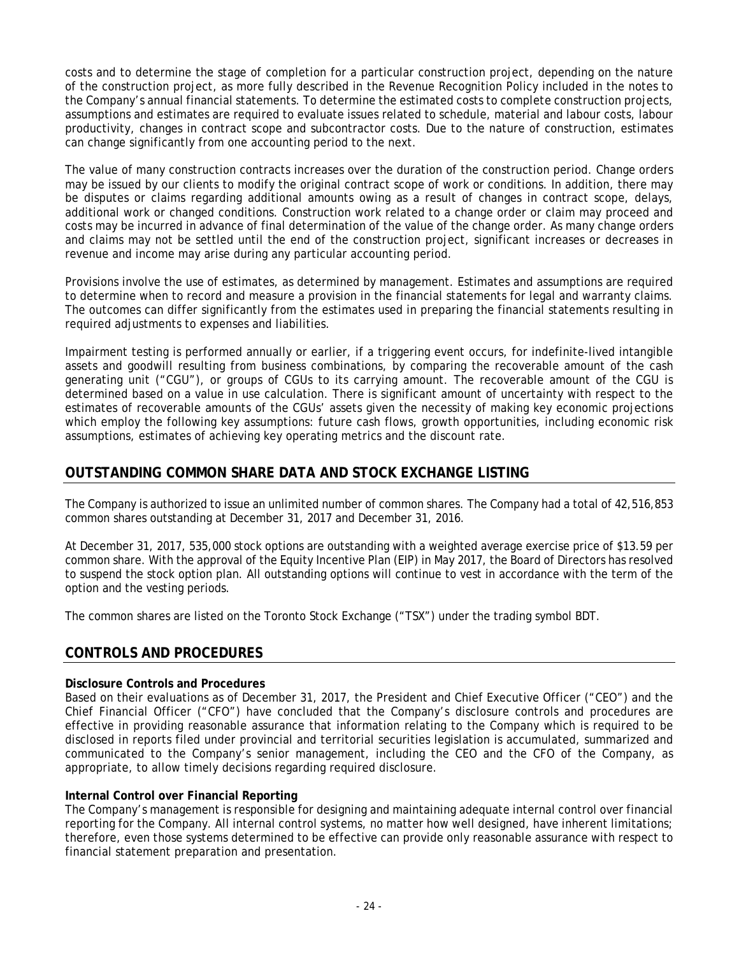costs and to determine the stage of completion for a particular construction project, depending on the nature of the construction project, as more fully described in the Revenue Recognition Policy included in the notes to the Company's annual financial statements. To determine the estimated costs to complete construction projects, assumptions and estimates are required to evaluate issues related to schedule, material and labour costs, labour productivity, changes in contract scope and subcontractor costs. Due to the nature of construction, estimates can change significantly from one accounting period to the next.

The value of many construction contracts increases over the duration of the construction period. Change orders may be issued by our clients to modify the original contract scope of work or conditions. In addition, there may be disputes or claims regarding additional amounts owing as a result of changes in contract scope, delays, additional work or changed conditions. Construction work related to a change order or claim may proceed and costs may be incurred in advance of final determination of the value of the change order. As many change orders and claims may not be settled until the end of the construction project, significant increases or decreases in revenue and income may arise during any particular accounting period.

Provisions involve the use of estimates, as determined by management. Estimates and assumptions are required to determine when to record and measure a provision in the financial statements for legal and warranty claims. The outcomes can differ significantly from the estimates used in preparing the financial statements resulting in required adjustments to expenses and liabilities.

Impairment testing is performed annually or earlier, if a triggering event occurs, for indefinite-lived intangible assets and goodwill resulting from business combinations, by comparing the recoverable amount of the cash generating unit ("CGU"), or groups of CGUs to its carrying amount. The recoverable amount of the CGU is determined based on a value in use calculation. There is significant amount of uncertainty with respect to the estimates of recoverable amounts of the CGUs' assets given the necessity of making key economic projections which employ the following key assumptions: future cash flows, growth opportunities, including economic risk assumptions, estimates of achieving key operating metrics and the discount rate.

# **OUTSTANDING COMMON SHARE DATA AND STOCK EXCHANGE LISTING**

The Company is authorized to issue an unlimited number of common shares. The Company had a total of 42,516,853 common shares outstanding at December 31, 2017 and December 31, 2016.

At December 31, 2017, 535,000 stock options are outstanding with a weighted average exercise price of \$13.59 per common share. With the approval of the Equity Incentive Plan (EIP) in May 2017, the Board of Directors has resolved to suspend the stock option plan. All outstanding options will continue to vest in accordance with the term of the option and the vesting periods.

The common shares are listed on the Toronto Stock Exchange ("TSX") under the trading symbol BDT.

### **CONTROLS AND PROCEDURES**

#### **Disclosure Controls and Procedures**

Based on their evaluations as of December 31, 2017, the President and Chief Executive Officer ("CEO") and the Chief Financial Officer ("CFO") have concluded that the Company's disclosure controls and procedures are effective in providing reasonable assurance that information relating to the Company which is required to be disclosed in reports filed under provincial and territorial securities legislation is accumulated, summarized and communicated to the Company's senior management, including the CEO and the CFO of the Company, as appropriate, to allow timely decisions regarding required disclosure.

#### **Internal Control over Financial Reporting**

The Company's management is responsible for designing and maintaining adequate internal control over financial reporting for the Company. All internal control systems, no matter how well designed, have inherent limitations; therefore, even those systems determined to be effective can provide only reasonable assurance with respect to financial statement preparation and presentation.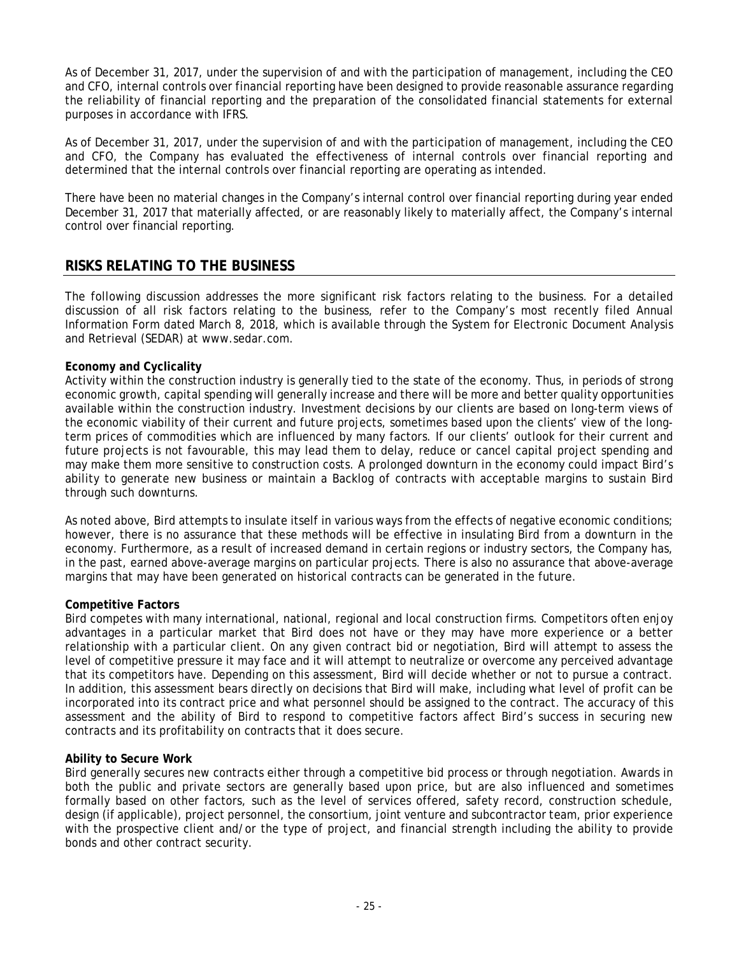As of December 31, 2017, under the supervision of and with the participation of management, including the CEO and CFO, internal controls over financial reporting have been designed to provide reasonable assurance regarding the reliability of financial reporting and the preparation of the consolidated financial statements for external purposes in accordance with IFRS.

As of December 31, 2017, under the supervision of and with the participation of management, including the CEO and CFO, the Company has evaluated the effectiveness of internal controls over financial reporting and determined that the internal controls over financial reporting are operating as intended.

There have been no material changes in the Company's internal control over financial reporting during year ended December 31, 2017 that materially affected, or are reasonably likely to materially affect, the Company's internal control over financial reporting.

## **RISKS RELATING TO THE BUSINESS**

The following discussion addresses the more significant risk factors relating to the business. For a detailed discussion of all risk factors relating to the business, refer to the Company's most recently filed Annual Information Form dated March 8, 2018, which is available through the System for Electronic Document Analysis and Retrieval (SEDAR) at www.sedar.com.

### **Economy and Cyclicality**

Activity within the construction industry is generally tied to the state of the economy. Thus, in periods of strong economic growth, capital spending will generally increase and there will be more and better quality opportunities available within the construction industry. Investment decisions by our clients are based on long-term views of the economic viability of their current and future projects, sometimes based upon the clients' view of the longterm prices of commodities which are influenced by many factors. If our clients' outlook for their current and future projects is not favourable, this may lead them to delay, reduce or cancel capital project spending and may make them more sensitive to construction costs. A prolonged downturn in the economy could impact Bird's ability to generate new business or maintain a Backlog of contracts with acceptable margins to sustain Bird through such downturns.

As noted above, Bird attempts to insulate itself in various ways from the effects of negative economic conditions; however, there is no assurance that these methods will be effective in insulating Bird from a downturn in the economy. Furthermore, as a result of increased demand in certain regions or industry sectors, the Company has, in the past, earned above-average margins on particular projects. There is also no assurance that above-average margins that may have been generated on historical contracts can be generated in the future.

### **Competitive Factors**

Bird competes with many international, national, regional and local construction firms. Competitors often enjoy advantages in a particular market that Bird does not have or they may have more experience or a better relationship with a particular client. On any given contract bid or negotiation, Bird will attempt to assess the level of competitive pressure it may face and it will attempt to neutralize or overcome any perceived advantage that its competitors have. Depending on this assessment, Bird will decide whether or not to pursue a contract. In addition, this assessment bears directly on decisions that Bird will make, including what level of profit can be incorporated into its contract price and what personnel should be assigned to the contract. The accuracy of this assessment and the ability of Bird to respond to competitive factors affect Bird's success in securing new contracts and its profitability on contracts that it does secure.

### **Ability to Secure Work**

Bird generally secures new contracts either through a competitive bid process or through negotiation. Awards in both the public and private sectors are generally based upon price, but are also influenced and sometimes formally based on other factors, such as the level of services offered, safety record, construction schedule, design (if applicable), project personnel, the consortium, joint venture and subcontractor team, prior experience with the prospective client and/or the type of project, and financial strength including the ability to provide bonds and other contract security.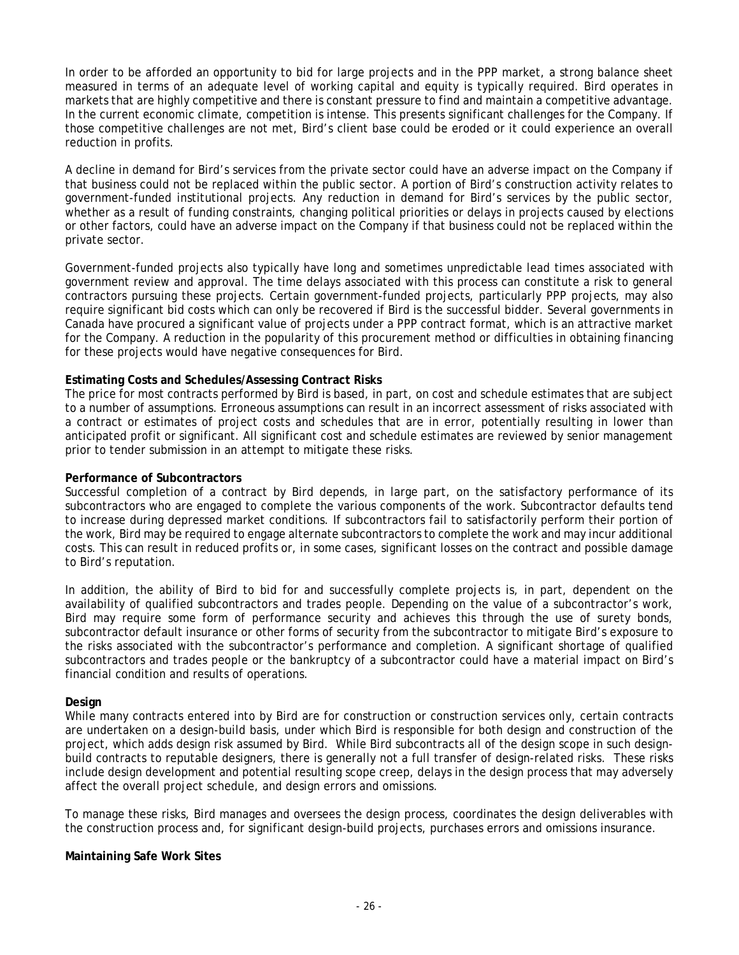In order to be afforded an opportunity to bid for large projects and in the PPP market, a strong balance sheet measured in terms of an adequate level of working capital and equity is typically required. Bird operates in markets that are highly competitive and there is constant pressure to find and maintain a competitive advantage. In the current economic climate, competition is intense. This presents significant challenges for the Company. If those competitive challenges are not met, Bird's client base could be eroded or it could experience an overall reduction in profits.

A decline in demand for Bird's services from the private sector could have an adverse impact on the Company if that business could not be replaced within the public sector. A portion of Bird's construction activity relates to government-funded institutional projects. Any reduction in demand for Bird's services by the public sector, whether as a result of funding constraints, changing political priorities or delays in projects caused by elections or other factors, could have an adverse impact on the Company if that business could not be replaced within the private sector.

Government-funded projects also typically have long and sometimes unpredictable lead times associated with government review and approval. The time delays associated with this process can constitute a risk to general contractors pursuing these projects. Certain government-funded projects, particularly PPP projects, may also require significant bid costs which can only be recovered if Bird is the successful bidder. Several governments in Canada have procured a significant value of projects under a PPP contract format, which is an attractive market for the Company. A reduction in the popularity of this procurement method or difficulties in obtaining financing for these projects would have negative consequences for Bird.

### **Estimating Costs and Schedules/Assessing Contract Risks**

The price for most contracts performed by Bird is based, in part, on cost and schedule estimates that are subject to a number of assumptions. Erroneous assumptions can result in an incorrect assessment of risks associated with a contract or estimates of project costs and schedules that are in error, potentially resulting in lower than anticipated profit or significant. All significant cost and schedule estimates are reviewed by senior management prior to tender submission in an attempt to mitigate these risks.

#### **Performance of Subcontractors**

Successful completion of a contract by Bird depends, in large part, on the satisfactory performance of its subcontractors who are engaged to complete the various components of the work. Subcontractor defaults tend to increase during depressed market conditions. If subcontractors fail to satisfactorily perform their portion of the work, Bird may be required to engage alternate subcontractors to complete the work and may incur additional costs. This can result in reduced profits or, in some cases, significant losses on the contract and possible damage to Bird's reputation.

In addition, the ability of Bird to bid for and successfully complete projects is, in part, dependent on the availability of qualified subcontractors and trades people. Depending on the value of a subcontractor's work, Bird may require some form of performance security and achieves this through the use of surety bonds, subcontractor default insurance or other forms of security from the subcontractor to mitigate Bird's exposure to the risks associated with the subcontractor's performance and completion. A significant shortage of qualified subcontractors and trades people or the bankruptcy of a subcontractor could have a material impact on Bird's financial condition and results of operations.

#### **Design**

While many contracts entered into by Bird are for construction or construction services only, certain contracts are undertaken on a design-build basis, under which Bird is responsible for both design and construction of the project, which adds design risk assumed by Bird. While Bird subcontracts all of the design scope in such designbuild contracts to reputable designers, there is generally not a full transfer of design-related risks. These risks include design development and potential resulting scope creep, delays in the design process that may adversely affect the overall project schedule, and design errors and omissions.

To manage these risks, Bird manages and oversees the design process, coordinates the design deliverables with the construction process and, for significant design-build projects, purchases errors and omissions insurance.

#### **Maintaining Safe Work Sites**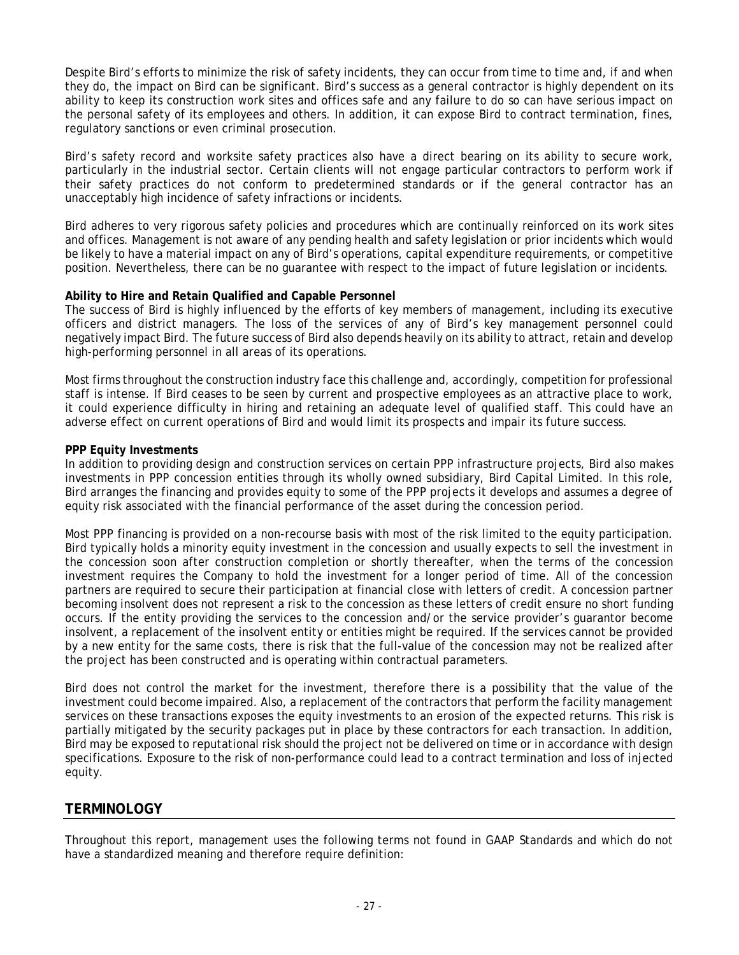Despite Bird's efforts to minimize the risk of safety incidents, they can occur from time to time and, if and when they do, the impact on Bird can be significant. Bird's success as a general contractor is highly dependent on its ability to keep its construction work sites and offices safe and any failure to do so can have serious impact on the personal safety of its employees and others. In addition, it can expose Bird to contract termination, fines, regulatory sanctions or even criminal prosecution.

Bird's safety record and worksite safety practices also have a direct bearing on its ability to secure work, particularly in the industrial sector. Certain clients will not engage particular contractors to perform work if their safety practices do not conform to predetermined standards or if the general contractor has an unacceptably high incidence of safety infractions or incidents.

Bird adheres to very rigorous safety policies and procedures which are continually reinforced on its work sites and offices. Management is not aware of any pending health and safety legislation or prior incidents which would be likely to have a material impact on any of Bird's operations, capital expenditure requirements, or competitive position. Nevertheless, there can be no guarantee with respect to the impact of future legislation or incidents.

### **Ability to Hire and Retain Qualified and Capable Personnel**

The success of Bird is highly influenced by the efforts of key members of management, including its executive officers and district managers. The loss of the services of any of Bird's key management personnel could negatively impact Bird. The future success of Bird also depends heavily on its ability to attract, retain and develop high-performing personnel in all areas of its operations.

Most firms throughout the construction industry face this challenge and, accordingly, competition for professional staff is intense. If Bird ceases to be seen by current and prospective employees as an attractive place to work, it could experience difficulty in hiring and retaining an adequate level of qualified staff. This could have an adverse effect on current operations of Bird and would limit its prospects and impair its future success.

### **PPP Equity Investments**

In addition to providing design and construction services on certain PPP infrastructure projects, Bird also makes investments in PPP concession entities through its wholly owned subsidiary, Bird Capital Limited. In this role, Bird arranges the financing and provides equity to some of the PPP projects it develops and assumes a degree of equity risk associated with the financial performance of the asset during the concession period.

Most PPP financing is provided on a non-recourse basis with most of the risk limited to the equity participation. Bird typically holds a minority equity investment in the concession and usually expects to sell the investment in the concession soon after construction completion or shortly thereafter, when the terms of the concession investment requires the Company to hold the investment for a longer period of time. All of the concession partners are required to secure their participation at financial close with letters of credit. A concession partner becoming insolvent does not represent a risk to the concession as these letters of credit ensure no short funding occurs. If the entity providing the services to the concession and/or the service provider's guarantor become insolvent, a replacement of the insolvent entity or entities might be required. If the services cannot be provided by a new entity for the same costs, there is risk that the full-value of the concession may not be realized after the project has been constructed and is operating within contractual parameters.

Bird does not control the market for the investment, therefore there is a possibility that the value of the investment could become impaired. Also, a replacement of the contractors that perform the facility management services on these transactions exposes the equity investments to an erosion of the expected returns. This risk is partially mitigated by the security packages put in place by these contractors for each transaction. In addition, Bird may be exposed to reputational risk should the project not be delivered on time or in accordance with design specifications. Exposure to the risk of non-performance could lead to a contract termination and loss of injected equity.

### **TERMINOLOGY**

Throughout this report, management uses the following terms not found in GAAP Standards and which do not have a standardized meaning and therefore require definition: